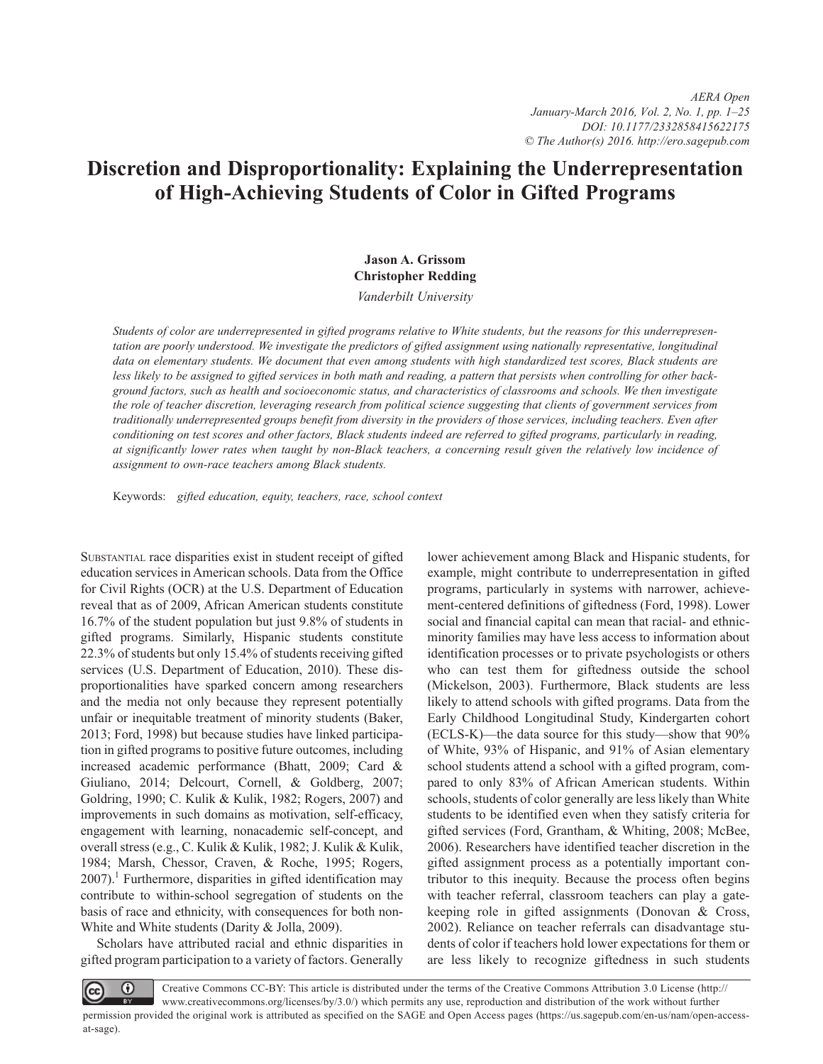# **Discretion and Disproportionality: Explaining the Underrepresentation of High-Achieving Students of Color in Gifted Programs**

# **Jason A. Grissom Christopher Redding**

*Vanderbilt University*

*Students of color are underrepresented in gifted programs relative to White students, but the reasons for this underrepresentation are poorly understood. We investigate the predictors of gifted assignment using nationally representative, longitudinal data on elementary students. We document that even among students with high standardized test scores, Black students are less likely to be assigned to gifted services in both math and reading, a pattern that persists when controlling for other background factors, such as health and socioeconomic status, and characteristics of classrooms and schools. We then investigate the role of teacher discretion, leveraging research from political science suggesting that clients of government services from traditionally underrepresented groups benefit from diversity in the providers of those services, including teachers. Even after conditioning on test scores and other factors, Black students indeed are referred to gifted programs, particularly in reading, at significantly lower rates when taught by non-Black teachers, a concerning result given the relatively low incidence of assignment to own-race teachers among Black students.*

Keywords: *gifted education, equity, teachers, race, school context*

Substantial race disparities exist in student receipt of gifted education services in American schools. Data from the Office for Civil Rights (OCR) at the U.S. Department of Education reveal that as of 2009, African American students constitute 16.7% of the student population but just 9.8% of students in gifted programs. Similarly, Hispanic students constitute 22.3% of students but only 15.4% of students receiving gifted services (U.S. Department of Education, 2010). These disproportionalities have sparked concern among researchers and the media not only because they represent potentially unfair or inequitable treatment of minority students (Baker, 2013; Ford, 1998) but because studies have linked participation in gifted programs to positive future outcomes, including increased academic performance (Bhatt, 2009; Card & Giuliano, 2014; Delcourt, Cornell, & Goldberg, 2007; Goldring, 1990; C. Kulik & Kulik, 1982; Rogers, 2007) and improvements in such domains as motivation, self-efficacy, engagement with learning, nonacademic self-concept, and overall stress (e.g., C. Kulik & Kulik, 1982; J. Kulik & Kulik, 1984; Marsh, Chessor, Craven, & Roche, 1995; Rogers,  $2007$ ).<sup>1</sup> Furthermore, disparities in gifted identification may contribute to within-school segregation of students on the basis of race and ethnicity, with consequences for both non-White and White students (Darity & Jolla, 2009).

Scholars have attributed racial and ethnic disparities in gifted program participation to a variety of factors. Generally

lower achievement among Black and Hispanic students, for example, might contribute to underrepresentation in gifted programs, particularly in systems with narrower, achievement-centered definitions of giftedness (Ford, 1998). Lower social and financial capital can mean that racial- and ethnicminority families may have less access to information about identification processes or to private psychologists or others who can test them for giftedness outside the school (Mickelson, 2003). Furthermore, Black students are less likely to attend schools with gifted programs. Data from the Early Childhood Longitudinal Study, Kindergarten cohort (ECLS-K)—the data source for this study—show that 90% of White, 93% of Hispanic, and 91% of Asian elementary school students attend a school with a gifted program, compared to only 83% of African American students. Within schools, students of color generally are less likely than White students to be identified even when they satisfy criteria for gifted services (Ford, Grantham, & Whiting, 2008; McBee, 2006). Researchers have identified teacher discretion in the gifted assignment process as a potentially important contributor to this inequity. Because the process often begins with teacher referral, classroom teachers can play a gatekeeping role in gifted assignments (Donovan & Cross, 2002). Reliance on teacher referrals can disadvantage students of color if teachers hold lower expectations for them or are less likely to recognize giftedness in such students

Creative Commons CC-BY: This article is distributed under the terms of the Creative Commons Attribution 3.0 License (http://  $\odot$ (cc) www.creativecommons.org/licenses/by/3.0/) which permits any use, reproduction and distribution of the work without further permission provided the original work is attributed as specified on the SAGE and Open Access pages (https://us.sagepub.com/en-us/nam/open-accessat-sage).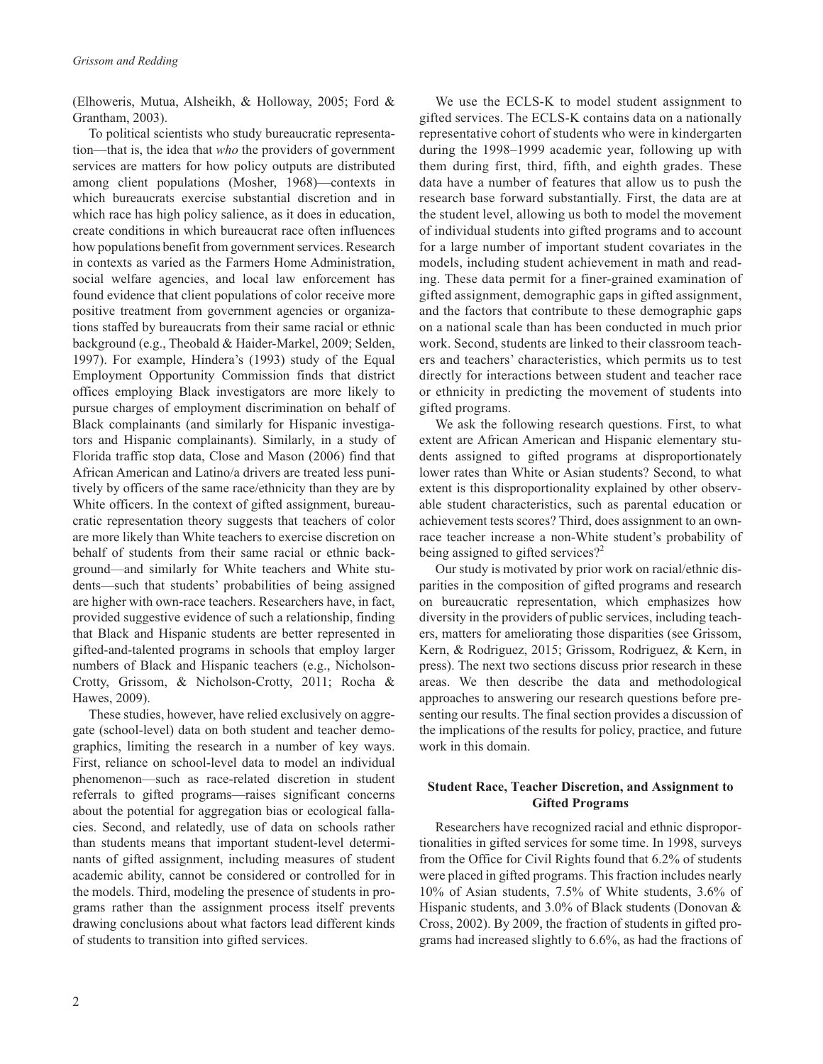(Elhoweris, Mutua, Alsheikh, & Holloway, 2005; Ford & Grantham, 2003).

To political scientists who study bureaucratic representation—that is, the idea that *who* the providers of government services are matters for how policy outputs are distributed among client populations (Mosher, 1968)—contexts in which bureaucrats exercise substantial discretion and in which race has high policy salience, as it does in education, create conditions in which bureaucrat race often influences how populations benefit from government services. Research in contexts as varied as the Farmers Home Administration, social welfare agencies, and local law enforcement has found evidence that client populations of color receive more positive treatment from government agencies or organizations staffed by bureaucrats from their same racial or ethnic background (e.g., Theobald & Haider-Markel, 2009; Selden, 1997). For example, Hindera's (1993) study of the Equal Employment Opportunity Commission finds that district offices employing Black investigators are more likely to pursue charges of employment discrimination on behalf of Black complainants (and similarly for Hispanic investigators and Hispanic complainants). Similarly, in a study of Florida traffic stop data, Close and Mason (2006) find that African American and Latino/a drivers are treated less punitively by officers of the same race/ethnicity than they are by White officers. In the context of gifted assignment, bureaucratic representation theory suggests that teachers of color are more likely than White teachers to exercise discretion on behalf of students from their same racial or ethnic background—and similarly for White teachers and White students—such that students' probabilities of being assigned are higher with own-race teachers. Researchers have, in fact, provided suggestive evidence of such a relationship, finding that Black and Hispanic students are better represented in gifted-and-talented programs in schools that employ larger numbers of Black and Hispanic teachers (e.g., Nicholson-Crotty, Grissom, & Nicholson-Crotty, 2011; Rocha & Hawes, 2009).

These studies, however, have relied exclusively on aggregate (school-level) data on both student and teacher demographics, limiting the research in a number of key ways. First, reliance on school-level data to model an individual phenomenon—such as race-related discretion in student referrals to gifted programs—raises significant concerns about the potential for aggregation bias or ecological fallacies. Second, and relatedly, use of data on schools rather than students means that important student-level determinants of gifted assignment, including measures of student academic ability, cannot be considered or controlled for in the models. Third, modeling the presence of students in programs rather than the assignment process itself prevents drawing conclusions about what factors lead different kinds of students to transition into gifted services.

We use the ECLS-K to model student assignment to gifted services. The ECLS-K contains data on a nationally representative cohort of students who were in kindergarten during the 1998–1999 academic year, following up with them during first, third, fifth, and eighth grades. These data have a number of features that allow us to push the research base forward substantially. First, the data are at the student level, allowing us both to model the movement of individual students into gifted programs and to account for a large number of important student covariates in the models, including student achievement in math and reading. These data permit for a finer-grained examination of gifted assignment, demographic gaps in gifted assignment, and the factors that contribute to these demographic gaps on a national scale than has been conducted in much prior work. Second, students are linked to their classroom teachers and teachers' characteristics, which permits us to test directly for interactions between student and teacher race or ethnicity in predicting the movement of students into gifted programs.

We ask the following research questions. First, to what extent are African American and Hispanic elementary students assigned to gifted programs at disproportionately lower rates than White or Asian students? Second, to what extent is this disproportionality explained by other observable student characteristics, such as parental education or achievement tests scores? Third, does assignment to an ownrace teacher increase a non-White student's probability of being assigned to gifted services?<sup>2</sup>

Our study is motivated by prior work on racial/ethnic disparities in the composition of gifted programs and research on bureaucratic representation, which emphasizes how diversity in the providers of public services, including teachers, matters for ameliorating those disparities (see Grissom, Kern, & Rodriguez, 2015; Grissom, Rodriguez, & Kern, in press). The next two sections discuss prior research in these areas. We then describe the data and methodological approaches to answering our research questions before presenting our results. The final section provides a discussion of the implications of the results for policy, practice, and future work in this domain.

# **Student Race, Teacher Discretion, and Assignment to Gifted Programs**

Researchers have recognized racial and ethnic disproportionalities in gifted services for some time. In 1998, surveys from the Office for Civil Rights found that 6.2% of students were placed in gifted programs. This fraction includes nearly 10% of Asian students, 7.5% of White students, 3.6% of Hispanic students, and 3.0% of Black students (Donovan & Cross, 2002). By 2009, the fraction of students in gifted programs had increased slightly to 6.6%, as had the fractions of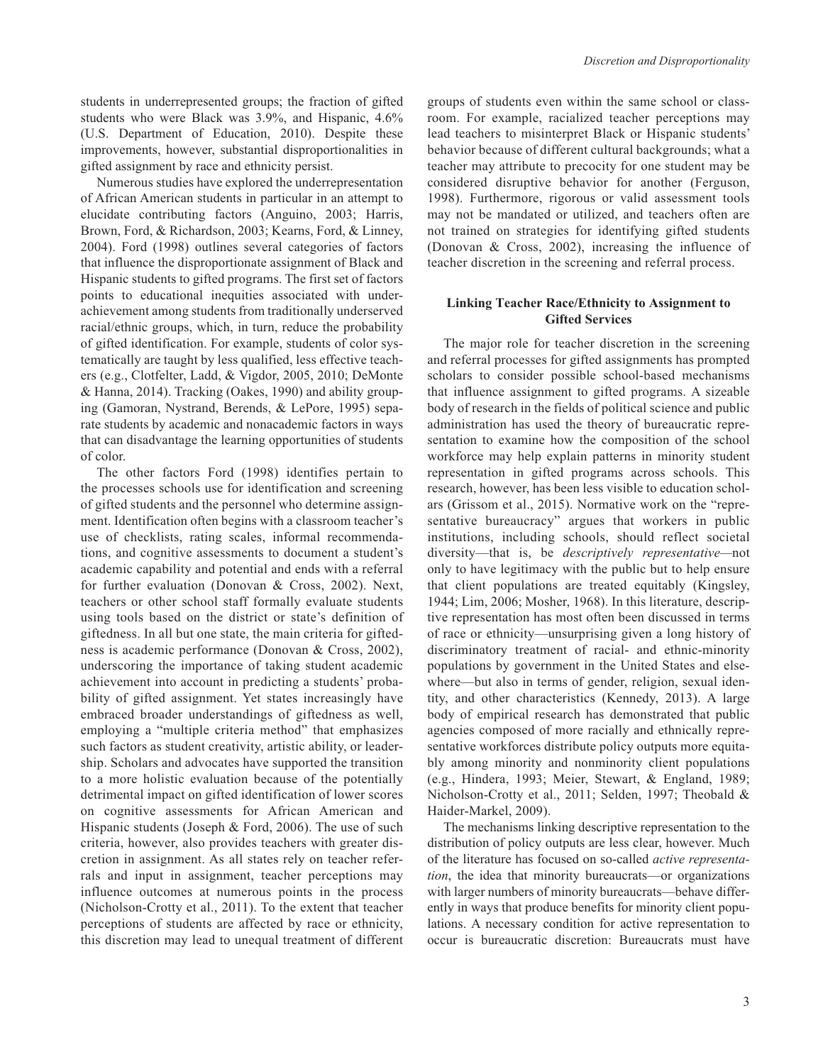students in underrepresented groups; the fraction of gifted students who were Black was 3.9%, and Hispanic, 4.6% (U.S. Department of Education, 2010). Despite these improvements, however, substantial disproportionalities in gifted assignment by race and ethnicity persist.

Numerous studies have explored the underrepresentation of African American students in particular in an attempt to elucidate contributing factors (Anguino, 2003; Harris, Brown, Ford, & Richardson, 2003; Kearns, Ford, & Linney, 2004). Ford (1998) outlines several categories of factors that influence the disproportionate assignment of Black and Hispanic students to gifted programs. The first set of factors points to educational inequities associated with underachievement among students from traditionally underserved racial/ethnic groups, which, in turn, reduce the probability of gifted identification. For example, students of color systematically are taught by less qualified, less effective teachers (e.g., Clotfelter, Ladd, & Vigdor, 2005, 2010; DeMonte & Hanna, 2014). Tracking (Oakes, 1990) and ability grouping (Gamoran, Nystrand, Berends, & LePore, 1995) separate students by academic and nonacademic factors in ways that can disadvantage the learning opportunities of students of color.

The other factors Ford (1998) identifies pertain to the processes schools use for identification and screening of gifted students and the personnel who determine assignment. Identification often begins with a classroom teacher's use of checklists, rating scales, informal recommendations, and cognitive assessments to document a student's academic capability and potential and ends with a referral for further evaluation (Donovan & Cross, 2002). Next, teachers or other school staff formally evaluate students using tools based on the district or state's definition of giftedness. In all but one state, the main criteria for giftedness is academic performance (Donovan & Cross, 2002), underscoring the importance of taking student academic achievement into account in predicting a students' probability of gifted assignment. Yet states increasingly have embraced broader understandings of giftedness as well, employing a "multiple criteria method" that emphasizes such factors as student creativity, artistic ability, or leadership. Scholars and advocates have supported the transition to a more holistic evaluation because of the potentially detrimental impact on gifted identification of lower scores on cognitive assessments for African American and Hispanic students (Joseph & Ford, 2006). The use of such criteria, however, also provides teachers with greater discretion in assignment. As all states rely on teacher referrals and input in assignment, teacher perceptions may influence outcomes at numerous points in the process (Nicholson-Crotty et al., 2011). To the extent that teacher perceptions of students are affected by race or ethnicity, this discretion may lead to unequal treatment of different

groups of students even within the same school or classroom. For example, racialized teacher perceptions may lead teachers to misinterpret Black or Hispanic students' behavior because of different cultural backgrounds; what a teacher may attribute to precocity for one student may be considered disruptive behavior for another (Ferguson, 1998). Furthermore, rigorous or valid assessment tools may not be mandated or utilized, and teachers often are not trained on strategies for identifying gifted students (Donovan & Cross, 2002), increasing the influence of teacher discretion in the screening and referral process.

### **Linking Teacher Race/Ethnicity to Assignment to Gifted Services**

The major role for teacher discretion in the screening and referral processes for gifted assignments has prompted scholars to consider possible school-based mechanisms that influence assignment to gifted programs. A sizeable body of research in the fields of political science and public administration has used the theory of bureaucratic representation to examine how the composition of the school workforce may help explain patterns in minority student representation in gifted programs across schools. This research, however, has been less visible to education scholars (Grissom et al., 2015). Normative work on the "representative bureaucracy" argues that workers in public institutions, including schools, should reflect societal diversity—that is, be *descriptively representative—*not only to have legitimacy with the public but to help ensure that client populations are treated equitably (Kingsley, 1944; Lim, 2006; Mosher, 1968). In this literature, descriptive representation has most often been discussed in terms of race or ethnicity—unsurprising given a long history of discriminatory treatment of racial- and ethnic-minority populations by government in the United States and elsewhere—but also in terms of gender, religion, sexual identity, and other characteristics (Kennedy, 2013). A large body of empirical research has demonstrated that public agencies composed of more racially and ethnically representative workforces distribute policy outputs more equitably among minority and nonminority client populations (e.g., Hindera, 1993; Meier, Stewart, & England, 1989; Nicholson-Crotty et al., 2011; Selden, 1997; Theobald & Haider-Markel, 2009).

The mechanisms linking descriptive representation to the distribution of policy outputs are less clear, however. Much of the literature has focused on so-called *active representation*, the idea that minority bureaucrats—or organizations with larger numbers of minority bureaucrats—behave differently in ways that produce benefits for minority client populations. A necessary condition for active representation to occur is bureaucratic discretion: Bureaucrats must have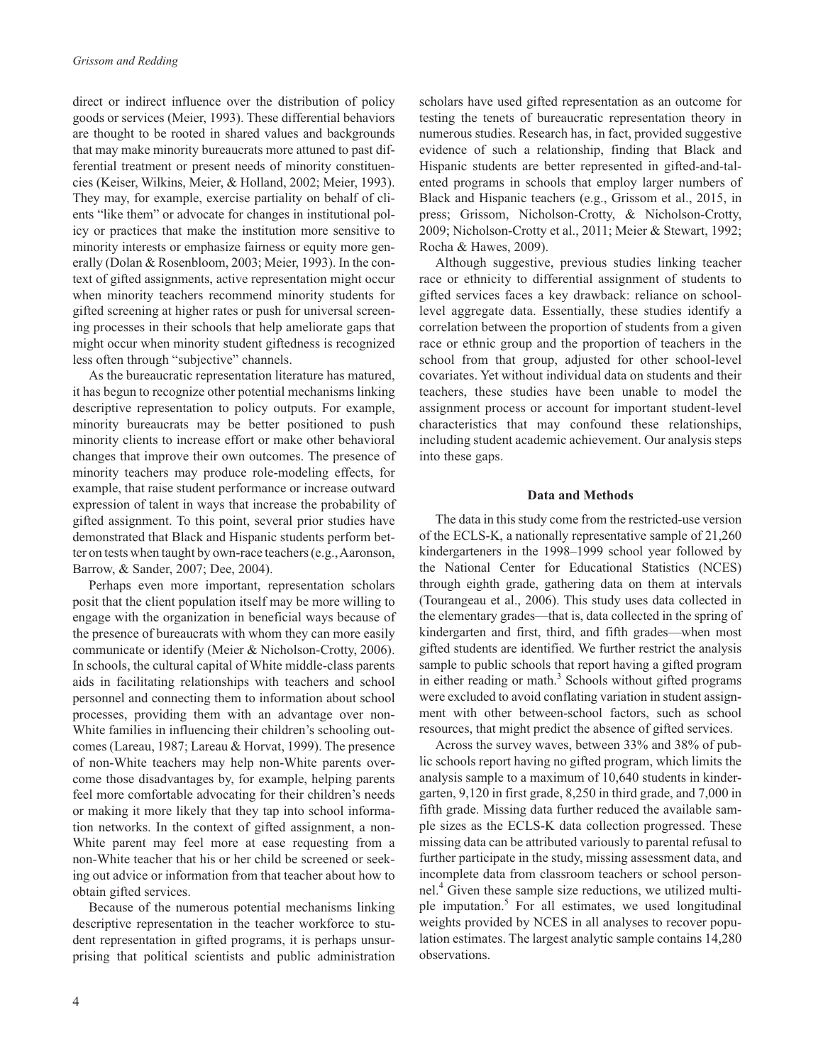direct or indirect influence over the distribution of policy goods or services (Meier, 1993). These differential behaviors are thought to be rooted in shared values and backgrounds that may make minority bureaucrats more attuned to past differential treatment or present needs of minority constituencies (Keiser, Wilkins, Meier, & Holland, 2002; Meier, 1993). They may, for example, exercise partiality on behalf of clients "like them" or advocate for changes in institutional policy or practices that make the institution more sensitive to minority interests or emphasize fairness or equity more generally (Dolan & Rosenbloom, 2003; Meier, 1993). In the context of gifted assignments, active representation might occur when minority teachers recommend minority students for gifted screening at higher rates or push for universal screening processes in their schools that help ameliorate gaps that might occur when minority student giftedness is recognized less often through "subjective" channels.

As the bureaucratic representation literature has matured, it has begun to recognize other potential mechanisms linking descriptive representation to policy outputs. For example, minority bureaucrats may be better positioned to push minority clients to increase effort or make other behavioral changes that improve their own outcomes. The presence of minority teachers may produce role-modeling effects, for example, that raise student performance or increase outward expression of talent in ways that increase the probability of gifted assignment. To this point, several prior studies have demonstrated that Black and Hispanic students perform better on tests when taught by own-race teachers (e.g., Aaronson, Barrow, & Sander, 2007; Dee, 2004).

Perhaps even more important, representation scholars posit that the client population itself may be more willing to engage with the organization in beneficial ways because of the presence of bureaucrats with whom they can more easily communicate or identify (Meier & Nicholson-Crotty, 2006). In schools, the cultural capital of White middle-class parents aids in facilitating relationships with teachers and school personnel and connecting them to information about school processes, providing them with an advantage over non-White families in influencing their children's schooling outcomes (Lareau, 1987; Lareau & Horvat, 1999). The presence of non-White teachers may help non-White parents overcome those disadvantages by, for example, helping parents feel more comfortable advocating for their children's needs or making it more likely that they tap into school information networks. In the context of gifted assignment, a non-White parent may feel more at ease requesting from a non-White teacher that his or her child be screened or seeking out advice or information from that teacher about how to obtain gifted services.

Because of the numerous potential mechanisms linking descriptive representation in the teacher workforce to student representation in gifted programs, it is perhaps unsurprising that political scientists and public administration scholars have used gifted representation as an outcome for testing the tenets of bureaucratic representation theory in numerous studies. Research has, in fact, provided suggestive evidence of such a relationship, finding that Black and Hispanic students are better represented in gifted-and-talented programs in schools that employ larger numbers of Black and Hispanic teachers (e.g., Grissom et al., 2015, in press; Grissom, Nicholson-Crotty, & Nicholson-Crotty, 2009; Nicholson-Crotty et al., 2011; Meier & Stewart, 1992; Rocha & Hawes, 2009).

Although suggestive, previous studies linking teacher race or ethnicity to differential assignment of students to gifted services faces a key drawback: reliance on schoollevel aggregate data. Essentially, these studies identify a correlation between the proportion of students from a given race or ethnic group and the proportion of teachers in the school from that group, adjusted for other school-level covariates. Yet without individual data on students and their teachers, these studies have been unable to model the assignment process or account for important student-level characteristics that may confound these relationships, including student academic achievement. Our analysis steps into these gaps.

#### **Data and Methods**

The data in this study come from the restricted-use version of the ECLS-K, a nationally representative sample of 21,260 kindergarteners in the 1998–1999 school year followed by the National Center for Educational Statistics (NCES) through eighth grade, gathering data on them at intervals (Tourangeau et al., 2006). This study uses data collected in the elementary grades—that is, data collected in the spring of kindergarten and first, third, and fifth grades—when most gifted students are identified. We further restrict the analysis sample to public schools that report having a gifted program in either reading or math.<sup>3</sup> Schools without gifted programs were excluded to avoid conflating variation in student assignment with other between-school factors, such as school resources, that might predict the absence of gifted services.

Across the survey waves, between 33% and 38% of public schools report having no gifted program, which limits the analysis sample to a maximum of 10,640 students in kindergarten, 9,120 in first grade, 8,250 in third grade, and 7,000 in fifth grade. Missing data further reduced the available sample sizes as the ECLS-K data collection progressed. These missing data can be attributed variously to parental refusal to further participate in the study, missing assessment data, and incomplete data from classroom teachers or school personnel.4 Given these sample size reductions, we utilized multiple imputation.<sup>5</sup> For all estimates, we used longitudinal weights provided by NCES in all analyses to recover population estimates. The largest analytic sample contains 14,280 observations.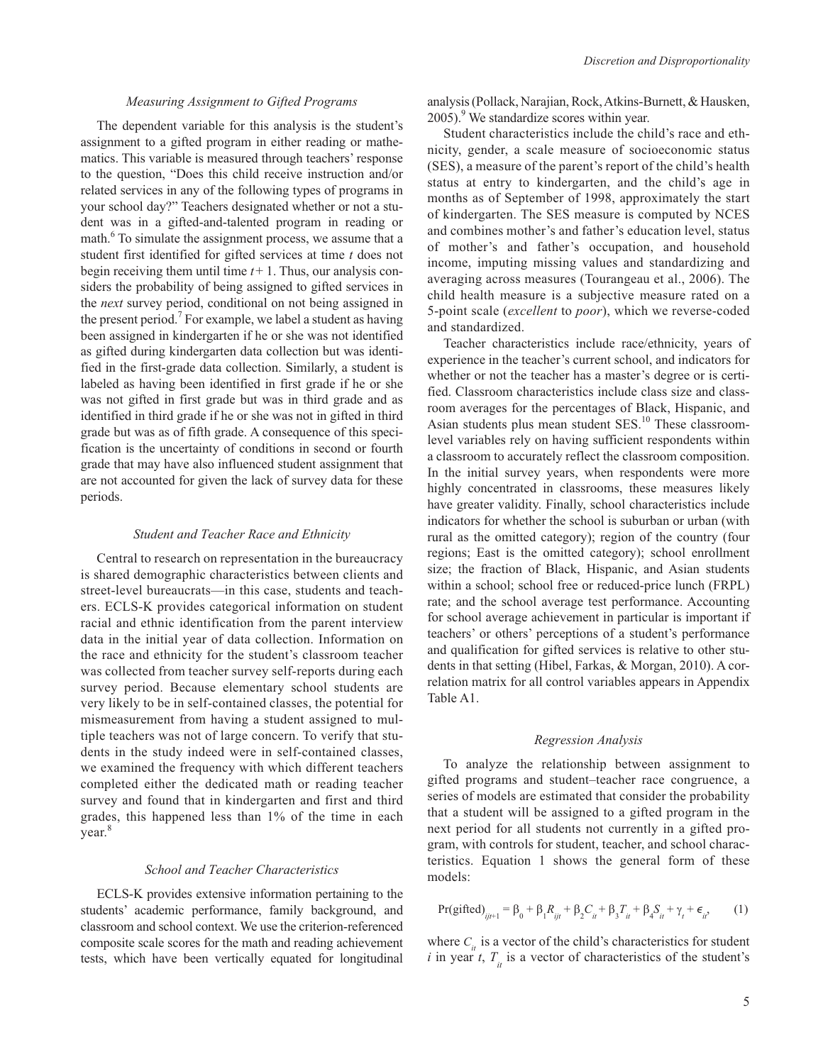The dependent variable for this analysis is the student's assignment to a gifted program in either reading or mathematics. This variable is measured through teachers' response to the question, "Does this child receive instruction and/or related services in any of the following types of programs in your school day?" Teachers designated whether or not a student was in a gifted-and-talented program in reading or math.<sup>6</sup> To simulate the assignment process, we assume that a student first identified for gifted services at time *t* does not begin receiving them until time *t*+ 1. Thus, our analysis considers the probability of being assigned to gifted services in the *next* survey period, conditional on not being assigned in the present period.<sup>7</sup> For example, we label a student as having been assigned in kindergarten if he or she was not identified as gifted during kindergarten data collection but was identified in the first-grade data collection. Similarly, a student is labeled as having been identified in first grade if he or she was not gifted in first grade but was in third grade and as identified in third grade if he or she was not in gifted in third grade but was as of fifth grade. A consequence of this specification is the uncertainty of conditions in second or fourth grade that may have also influenced student assignment that are not accounted for given the lack of survey data for these periods.

#### *Student and Teacher Race and Ethnicity*

Central to research on representation in the bureaucracy is shared demographic characteristics between clients and street-level bureaucrats—in this case, students and teachers. ECLS-K provides categorical information on student racial and ethnic identification from the parent interview data in the initial year of data collection. Information on the race and ethnicity for the student's classroom teacher was collected from teacher survey self-reports during each survey period. Because elementary school students are very likely to be in self-contained classes, the potential for mismeasurement from having a student assigned to multiple teachers was not of large concern. To verify that students in the study indeed were in self-contained classes, we examined the frequency with which different teachers completed either the dedicated math or reading teacher survey and found that in kindergarten and first and third grades, this happened less than 1% of the time in each year.<sup>8</sup>

#### *School and Teacher Characteristics*

ECLS-K provides extensive information pertaining to the students' academic performance, family background, and classroom and school context. We use the criterion-referenced composite scale scores for the math and reading achievement tests, which have been vertically equated for longitudinal analysis (Pollack, Narajian, Rock, Atkins-Burnett, & Hausken, 2005).<sup>9</sup> We standardize scores within year.

Student characteristics include the child's race and ethnicity, gender, a scale measure of socioeconomic status (SES), a measure of the parent's report of the child's health status at entry to kindergarten, and the child's age in months as of September of 1998, approximately the start of kindergarten. The SES measure is computed by NCES and combines mother's and father's education level, status of mother's and father's occupation, and household income, imputing missing values and standardizing and averaging across measures (Tourangeau et al., 2006). The child health measure is a subjective measure rated on a 5-point scale (*excellent* to *poor*), which we reverse-coded and standardized.

Teacher characteristics include race/ethnicity, years of experience in the teacher's current school, and indicators for whether or not the teacher has a master's degree or is certified. Classroom characteristics include class size and classroom averages for the percentages of Black, Hispanic, and Asian students plus mean student  $SES$ <sup>10</sup> These classroomlevel variables rely on having sufficient respondents within a classroom to accurately reflect the classroom composition. In the initial survey years, when respondents were more highly concentrated in classrooms, these measures likely have greater validity. Finally, school characteristics include indicators for whether the school is suburban or urban (with rural as the omitted category); region of the country (four regions; East is the omitted category); school enrollment size; the fraction of Black, Hispanic, and Asian students within a school; school free or reduced-price lunch (FRPL) rate; and the school average test performance. Accounting for school average achievement in particular is important if teachers' or others' perceptions of a student's performance and qualification for gifted services is relative to other students in that setting (Hibel, Farkas, & Morgan, 2010). A correlation matrix for all control variables appears in Appendix Table A1.

#### *Regression Analysis*

To analyze the relationship between assignment to gifted programs and student–teacher race congruence, a series of models are estimated that consider the probability that a student will be assigned to a gifted program in the next period for all students not currently in a gifted program, with controls for student, teacher, and school characteristics. Equation 1 shows the general form of these models:

$$
\Pr(\text{gifted})_{i t+1} = \beta_0 + \beta_1 R_{i t} + \beta_2 C_{i t} + \beta_3 T_{i t} + \beta_4 S_{i t} + \gamma_t + \epsilon_{i t}, \qquad (1)
$$

where  $C_i$  is a vector of the child's characteristics for student *i* in year *t*,  $T_i$  is a vector of characteristics of the student's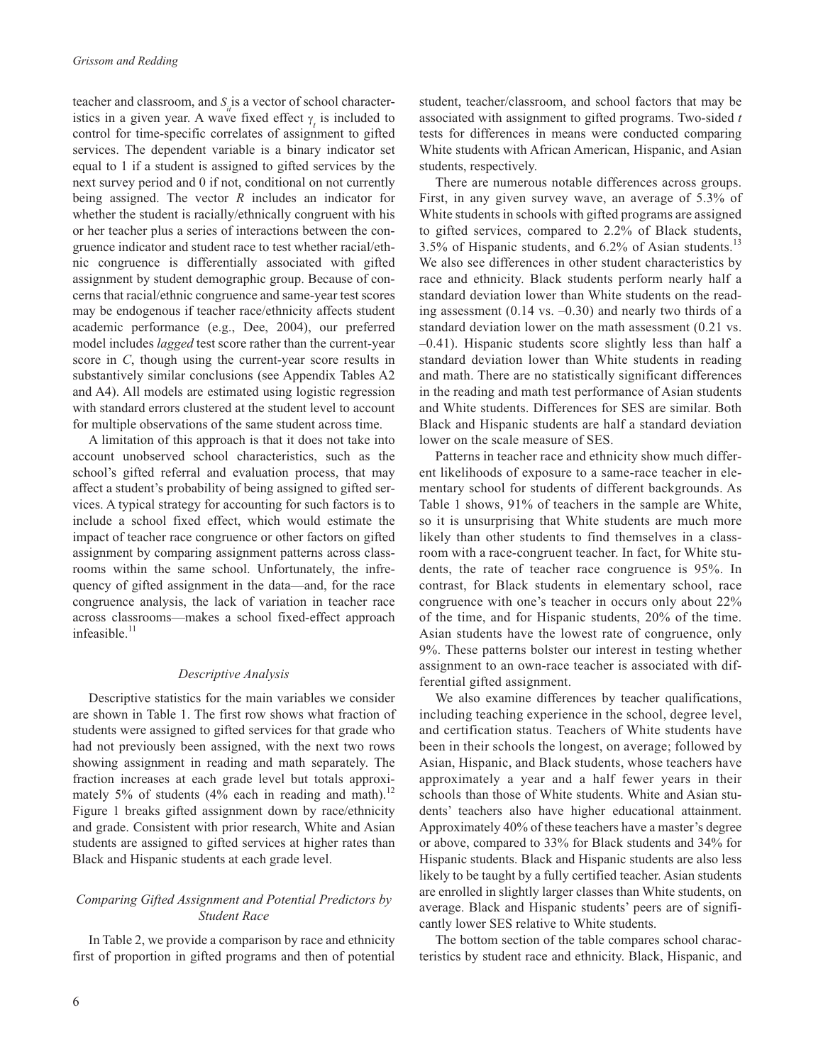teacher and classroom, and  $S_{it}$  is a vector of school characteristics in a given year. A wave fixed effect  $\gamma$ <sub>t</sub> is included to control for time-specific correlates of assignment to gifted services. The dependent variable is a binary indicator set equal to 1 if a student is assigned to gifted services by the next survey period and 0 if not, conditional on not currently being assigned. The vector *R* includes an indicator for whether the student is racially/ethnically congruent with his or her teacher plus a series of interactions between the congruence indicator and student race to test whether racial/ethnic congruence is differentially associated with gifted assignment by student demographic group. Because of concerns that racial/ethnic congruence and same-year test scores may be endogenous if teacher race/ethnicity affects student academic performance (e.g., Dee, 2004), our preferred model includes *lagged* test score rather than the current-year score in *C*, though using the current-year score results in substantively similar conclusions (see Appendix Tables A2 and A4). All models are estimated using logistic regression with standard errors clustered at the student level to account for multiple observations of the same student across time.

A limitation of this approach is that it does not take into account unobserved school characteristics, such as the school's gifted referral and evaluation process, that may affect a student's probability of being assigned to gifted services. A typical strategy for accounting for such factors is to include a school fixed effect, which would estimate the impact of teacher race congruence or other factors on gifted assignment by comparing assignment patterns across classrooms within the same school. Unfortunately, the infrequency of gifted assignment in the data—and, for the race congruence analysis, the lack of variation in teacher race across classrooms—makes a school fixed-effect approach infeasible. $11$ 

#### *Descriptive Analysis*

Descriptive statistics for the main variables we consider are shown in Table 1. The first row shows what fraction of students were assigned to gifted services for that grade who had not previously been assigned, with the next two rows showing assignment in reading and math separately. The fraction increases at each grade level but totals approximately 5% of students  $(4\%$  each in reading and math).<sup>12</sup> Figure 1 breaks gifted assignment down by race/ethnicity and grade. Consistent with prior research, White and Asian students are assigned to gifted services at higher rates than Black and Hispanic students at each grade level.

## *Comparing Gifted Assignment and Potential Predictors by Student Race*

In Table 2, we provide a comparison by race and ethnicity first of proportion in gifted programs and then of potential

student, teacher/classroom, and school factors that may be associated with assignment to gifted programs. Two-sided *t* tests for differences in means were conducted comparing White students with African American, Hispanic, and Asian students, respectively.

There are numerous notable differences across groups. First, in any given survey wave, an average of 5.3% of White students in schools with gifted programs are assigned to gifted services, compared to 2.2% of Black students, 3.5% of Hispanic students, and 6.2% of Asian students.<sup>13</sup> We also see differences in other student characteristics by race and ethnicity. Black students perform nearly half a standard deviation lower than White students on the reading assessment  $(0.14 \text{ vs. } -0.30)$  and nearly two thirds of a standard deviation lower on the math assessment (0.21 vs. –0.41). Hispanic students score slightly less than half a standard deviation lower than White students in reading and math. There are no statistically significant differences in the reading and math test performance of Asian students and White students. Differences for SES are similar. Both Black and Hispanic students are half a standard deviation lower on the scale measure of SES.

Patterns in teacher race and ethnicity show much different likelihoods of exposure to a same-race teacher in elementary school for students of different backgrounds. As Table 1 shows, 91% of teachers in the sample are White, so it is unsurprising that White students are much more likely than other students to find themselves in a classroom with a race-congruent teacher. In fact, for White students, the rate of teacher race congruence is 95%. In contrast, for Black students in elementary school, race congruence with one's teacher in occurs only about 22% of the time, and for Hispanic students, 20% of the time. Asian students have the lowest rate of congruence, only 9%. These patterns bolster our interest in testing whether assignment to an own-race teacher is associated with differential gifted assignment.

We also examine differences by teacher qualifications, including teaching experience in the school, degree level, and certification status. Teachers of White students have been in their schools the longest, on average; followed by Asian, Hispanic, and Black students, whose teachers have approximately a year and a half fewer years in their schools than those of White students. White and Asian students' teachers also have higher educational attainment. Approximately 40% of these teachers have a master's degree or above, compared to 33% for Black students and 34% for Hispanic students. Black and Hispanic students are also less likely to be taught by a fully certified teacher. Asian students are enrolled in slightly larger classes than White students, on average. Black and Hispanic students' peers are of significantly lower SES relative to White students.

The bottom section of the table compares school characteristics by student race and ethnicity. Black, Hispanic, and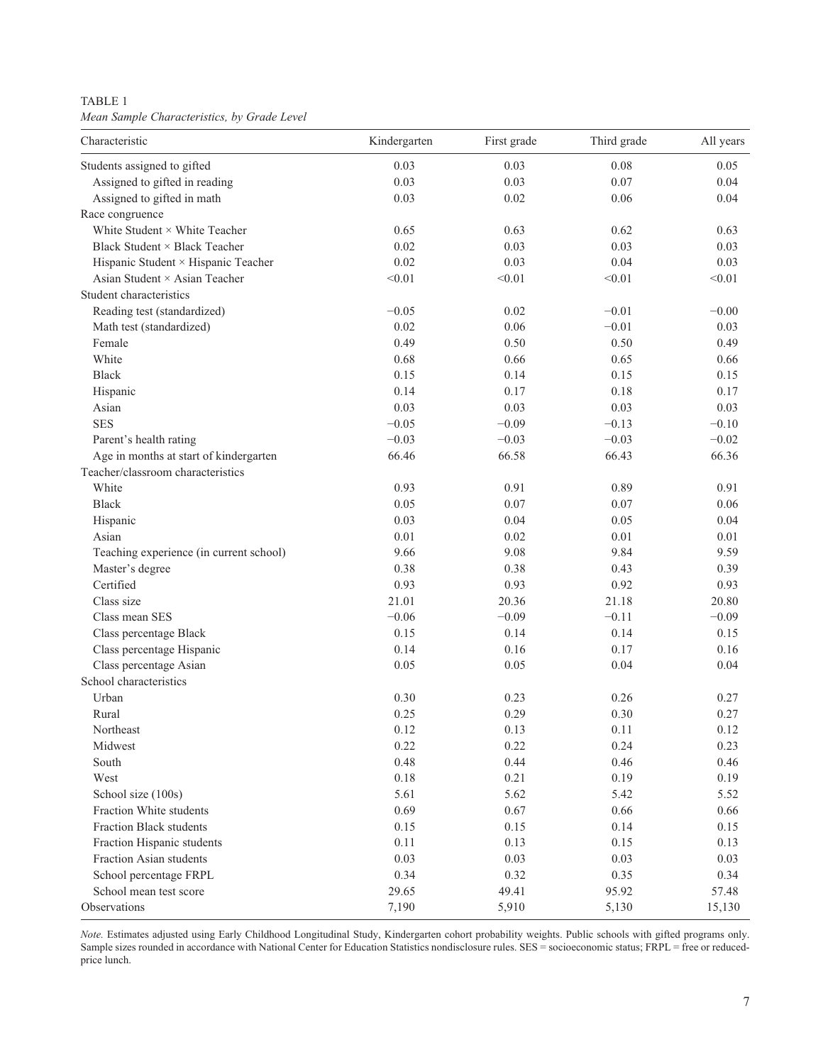TABLE 1

*Mean Sample Characteristics, by Grade Level*

| Characteristic                          | Kindergarten | First grade | Third grade | All years |
|-----------------------------------------|--------------|-------------|-------------|-----------|
| Students assigned to gifted             | 0.03         | 0.03        | 0.08        | 0.05      |
| Assigned to gifted in reading           | 0.03         | 0.03        | 0.07        | 0.04      |
| Assigned to gifted in math              | 0.03         | 0.02        | 0.06        | 0.04      |
| Race congruence                         |              |             |             |           |
| White Student × White Teacher           | 0.65         | 0.63        | 0.62        | 0.63      |
| Black Student × Black Teacher           | 0.02         | 0.03        | 0.03        | 0.03      |
| Hispanic Student × Hispanic Teacher     | 0.02         | 0.03        | 0.04        | 0.03      |
| Asian Student × Asian Teacher           | < 0.01       | < 0.01      | < 0.01      | < 0.01    |
| Student characteristics                 |              |             |             |           |
| Reading test (standardized)             | $-0.05$      | 0.02        | $-0.01$     | $-0.00$   |
| Math test (standardized)                | 0.02         | 0.06        | $-0.01$     | 0.03      |
| Female                                  | 0.49         | 0.50        | 0.50        | 0.49      |
| White                                   | 0.68         | 0.66        | 0.65        | 0.66      |
| <b>Black</b>                            | 0.15         | 0.14        | 0.15        | 0.15      |
| Hispanic                                | 0.14         | 0.17        | 0.18        | 0.17      |
| Asian                                   | 0.03         | 0.03        | 0.03        | 0.03      |
| <b>SES</b>                              | $-0.05$      | $-0.09$     | $-0.13$     | $-0.10$   |
| Parent's health rating                  | $-0.03$      | $-0.03$     | $-0.03$     | $-0.02$   |
| Age in months at start of kindergarten  | 66.46        | 66.58       | 66.43       | 66.36     |
| Teacher/classroom characteristics       |              |             |             |           |
| White                                   | 0.93         | 0.91        | 0.89        | 0.91      |
| <b>Black</b>                            | 0.05         | 0.07        | 0.07        | 0.06      |
| Hispanic                                | 0.03         | 0.04        | 0.05        | 0.04      |
| Asian                                   | 0.01         | 0.02        | 0.01        | 0.01      |
| Teaching experience (in current school) | 9.66         | 9.08        | 9.84        | 9.59      |
| Master's degree                         | 0.38         | 0.38        | 0.43        | 0.39      |
| Certified                               | 0.93         | 0.93        | 0.92        | 0.93      |
| Class size                              | 21.01        | 20.36       | 21.18       | 20.80     |
| Class mean SES                          | $-0.06$      | $-0.09$     | $-0.11$     | $-0.09$   |
| Class percentage Black                  | 0.15         | 0.14        | 0.14        | 0.15      |
| Class percentage Hispanic               | 0.14         | 0.16        | 0.17        | 0.16      |
| Class percentage Asian                  | 0.05         | 0.05        | 0.04        | 0.04      |
| School characteristics                  |              |             |             |           |
| Urban                                   | 0.30         | 0.23        | 0.26        | 0.27      |
| Rural                                   | 0.25         | 0.29        | 0.30        | 0.27      |
| Northeast                               | 0.12         | 0.13        | 0.11        | 0.12      |
| Midwest                                 | 0.22         | 0.22        | 0.24        | 0.23      |
| South                                   | 0.48         | 0.44        | 0.46        | 0.46      |
| West                                    | 0.18         | 0.21        | 0.19        | 0.19      |
| School size (100s)                      | 5.61         | 5.62        | 5.42        | 5.52      |
| Fraction White students                 | 0.69         | 0.67        | 0.66        | 0.66      |
| Fraction Black students                 | 0.15         | 0.15        | 0.14        | 0.15      |
| Fraction Hispanic students              | 0.11         | 0.13        | 0.15        | 0.13      |
| Fraction Asian students                 | 0.03         | 0.03        | 0.03        | 0.03      |
| School percentage FRPL                  | 0.34         | 0.32        | 0.35        | 0.34      |
| School mean test score                  | 29.65        | 49.41       | 95.92       | 57.48     |
| Observations                            | 7,190        | 5,910       | 5,130       | 15,130    |

*Note.* Estimates adjusted using Early Childhood Longitudinal Study, Kindergarten cohort probability weights. Public schools with gifted programs only. Sample sizes rounded in accordance with National Center for Education Statistics nondisclosure rules. SES = socioeconomic status; FRPL = free or reducedprice lunch.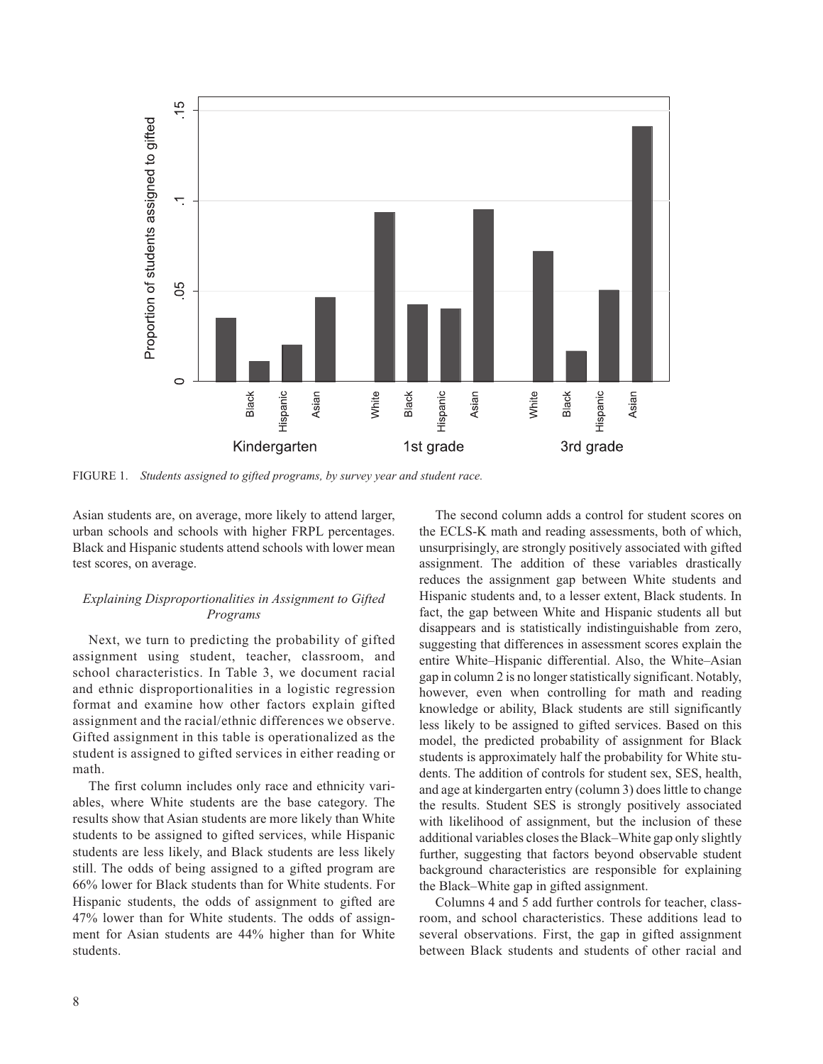

FIGURE 1. *Students assigned to gifted programs, by survey year and student race.* 

Asian students are, on average, more likely to attend larger, urban schools and schools with higher FRPL percentages. Black and Hispanic students attend schools with lower mean test scores, on average.

### *Explaining Disproportionalities in Assignment to Gifted Programs*

Next, we turn to predicting the probability of gifted assignment using student, teacher, classroom, and school characteristics. In Table 3, we document racial and ethnic disproportionalities in a logistic regression format and examine how other factors explain gifted assignment and the racial/ethnic differences we observe. Gifted assignment in this table is operationalized as the student is assigned to gifted services in either reading or math.

The first column includes only race and ethnicity variables, where White students are the base category. The results show that Asian students are more likely than White students to be assigned to gifted services, while Hispanic students are less likely, and Black students are less likely still. The odds of being assigned to a gifted program are 66% lower for Black students than for White students. For Hispanic students, the odds of assignment to gifted are 47% lower than for White students. The odds of assignment for Asian students are 44% higher than for White students.

The second column adds a control for student scores on the ECLS-K math and reading assessments, both of which, unsurprisingly, are strongly positively associated with gifted assignment. The addition of these variables drastically reduces the assignment gap between White students and Hispanic students and, to a lesser extent, Black students. In fact, the gap between White and Hispanic students all but disappears and is statistically indistinguishable from zero, suggesting that differences in assessment scores explain the entire White–Hispanic differential. Also, the White–Asian gap in column 2 is no longer statistically significant. Notably, however, even when controlling for math and reading knowledge or ability, Black students are still significantly less likely to be assigned to gifted services. Based on this model, the predicted probability of assignment for Black students is approximately half the probability for White students. The addition of controls for student sex, SES, health, and age at kindergarten entry (column 3) does little to change the results. Student SES is strongly positively associated with likelihood of assignment, but the inclusion of these additional variables closes the Black–White gap only slightly further, suggesting that factors beyond observable student background characteristics are responsible for explaining the Black–White gap in gifted assignment.

Columns 4 and 5 add further controls for teacher, classroom, and school characteristics. These additions lead to several observations. First, the gap in gifted assignment between Black students and students of other racial and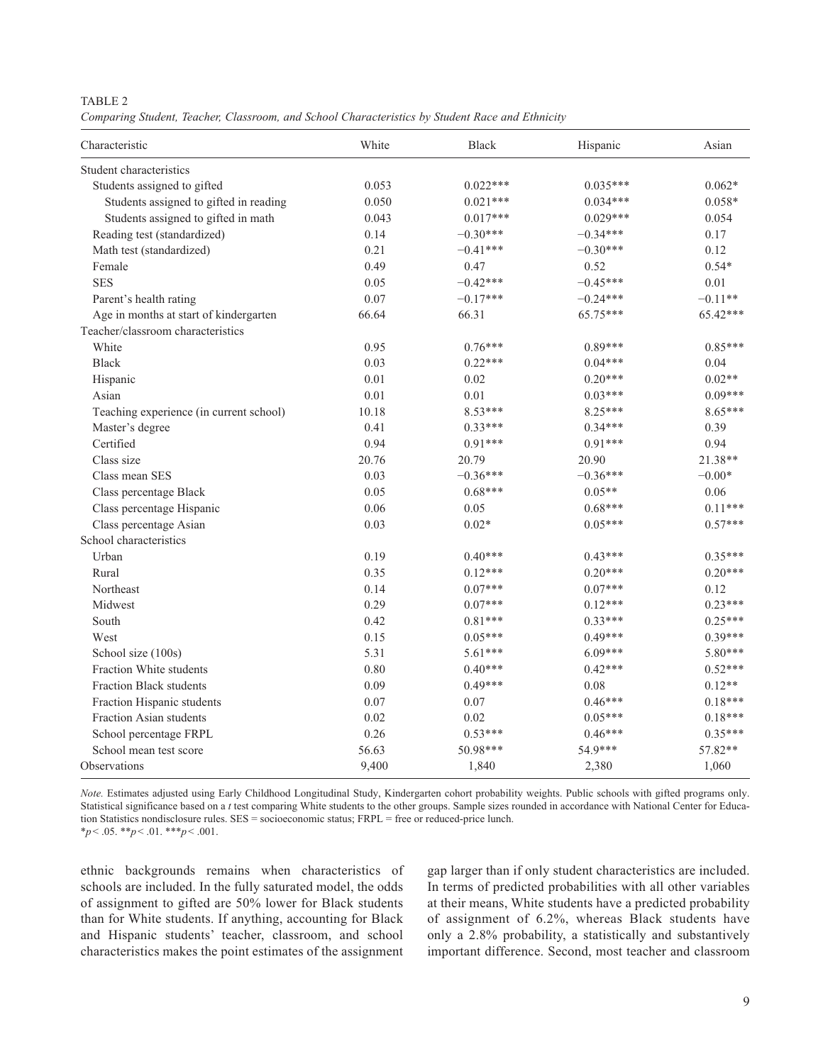TABLE 2

*Comparing Student, Teacher, Classroom, and School Characteristics by Student Race and Ethnicity*

| Characteristic                          | White | <b>Black</b> | Hispanic   | Asian     |
|-----------------------------------------|-------|--------------|------------|-----------|
| Student characteristics                 |       |              |            |           |
| Students assigned to gifted             | 0.053 | $0.022***$   | $0.035***$ | $0.062*$  |
| Students assigned to gifted in reading  | 0.050 | $0.021***$   | $0.034***$ | $0.058*$  |
| Students assigned to gifted in math     | 0.043 | $0.017***$   | $0.029***$ | 0.054     |
| Reading test (standardized)             | 0.14  | $-0.30***$   | $-0.34***$ | 0.17      |
| Math test (standardized)                | 0.21  | $-0.41***$   | $-0.30***$ | 0.12      |
| Female                                  | 0.49  | 0.47         | 0.52       | $0.54*$   |
| <b>SES</b>                              | 0.05  | $-0.42***$   | $-0.45***$ | 0.01      |
| Parent's health rating                  | 0.07  | $-0.17***$   | $-0.24***$ | $-0.11**$ |
| Age in months at start of kindergarten  | 66.64 | 66.31        | $65.75***$ | 65.42***  |
| Teacher/classroom characteristics       |       |              |            |           |
| White                                   | 0.95  | $0.76***$    | $0.89***$  | $0.85***$ |
| <b>Black</b>                            | 0.03  | $0.22***$    | $0.04***$  | 0.04      |
| Hispanic                                | 0.01  | 0.02         | $0.20***$  | $0.02**$  |
| Asian                                   | 0.01  | 0.01         | $0.03***$  | $0.09***$ |
| Teaching experience (in current school) | 10.18 | 8.53***      | 8.25***    | $8.65***$ |
| Master's degree                         | 0.41  | $0.33***$    | $0.34***$  | 0.39      |
| Certified                               | 0.94  | $0.91***$    | $0.91***$  | 0.94      |
| Class size                              | 20.76 | 20.79        | 20.90      | 21.38**   |
| Class mean SES                          | 0.03  | $-0.36***$   | $-0.36***$ | $-0.00*$  |
| Class percentage Black                  | 0.05  | $0.68***$    | $0.05**$   | 0.06      |
| Class percentage Hispanic               | 0.06  | 0.05         | $0.68***$  | $0.11***$ |
| Class percentage Asian                  | 0.03  | $0.02*$      | $0.05***$  | $0.57***$ |
| School characteristics                  |       |              |            |           |
| Urban                                   | 0.19  | $0.40***$    | $0.43***$  | $0.35***$ |
| Rural                                   | 0.35  | $0.12***$    | $0.20***$  | $0.20***$ |
| Northeast                               | 0.14  | $0.07***$    | $0.07***$  | 0.12      |
| Midwest                                 | 0.29  | $0.07***$    | $0.12***$  | $0.23***$ |
| South                                   | 0.42  | $0.81***$    | $0.33***$  | $0.25***$ |
| West                                    | 0.15  | $0.05***$    | $0.49***$  | $0.39***$ |
| School size (100s)                      | 5.31  | $5.61***$    | $6.09***$  | 5.80***   |
| Fraction White students                 | 0.80  | $0.40***$    | $0.42***$  | $0.52***$ |
| <b>Fraction Black students</b>          | 0.09  | $0.49***$    | 0.08       | $0.12**$  |
| Fraction Hispanic students              | 0.07  | 0.07         | $0.46***$  | $0.18***$ |
| Fraction Asian students                 | 0.02  | 0.02         | $0.05***$  | $0.18***$ |
| School percentage FRPL                  | 0.26  | $0.53***$    | $0.46***$  | $0.35***$ |
| School mean test score                  | 56.63 | 50.98***     | 54.9***    | 57.82**   |
| Observations                            | 9,400 | 1,840        | 2,380      | 1,060     |

*Note.* Estimates adjusted using Early Childhood Longitudinal Study, Kindergarten cohort probability weights. Public schools with gifted programs only. Statistical significance based on a *t* test comparing White students to the other groups. Sample sizes rounded in accordance with National Center for Education Statistics nondisclosure rules. SES = socioeconomic status; FRPL = free or reduced-price lunch.

\**p*< .05. \*\**p*< .01. \*\*\**p*< .001.

ethnic backgrounds remains when characteristics of schools are included. In the fully saturated model, the odds of assignment to gifted are 50% lower for Black students than for White students. If anything, accounting for Black and Hispanic students' teacher, classroom, and school characteristics makes the point estimates of the assignment

gap larger than if only student characteristics are included. In terms of predicted probabilities with all other variables at their means, White students have a predicted probability of assignment of 6.2%, whereas Black students have only a 2.8% probability, a statistically and substantively important difference. Second, most teacher and classroom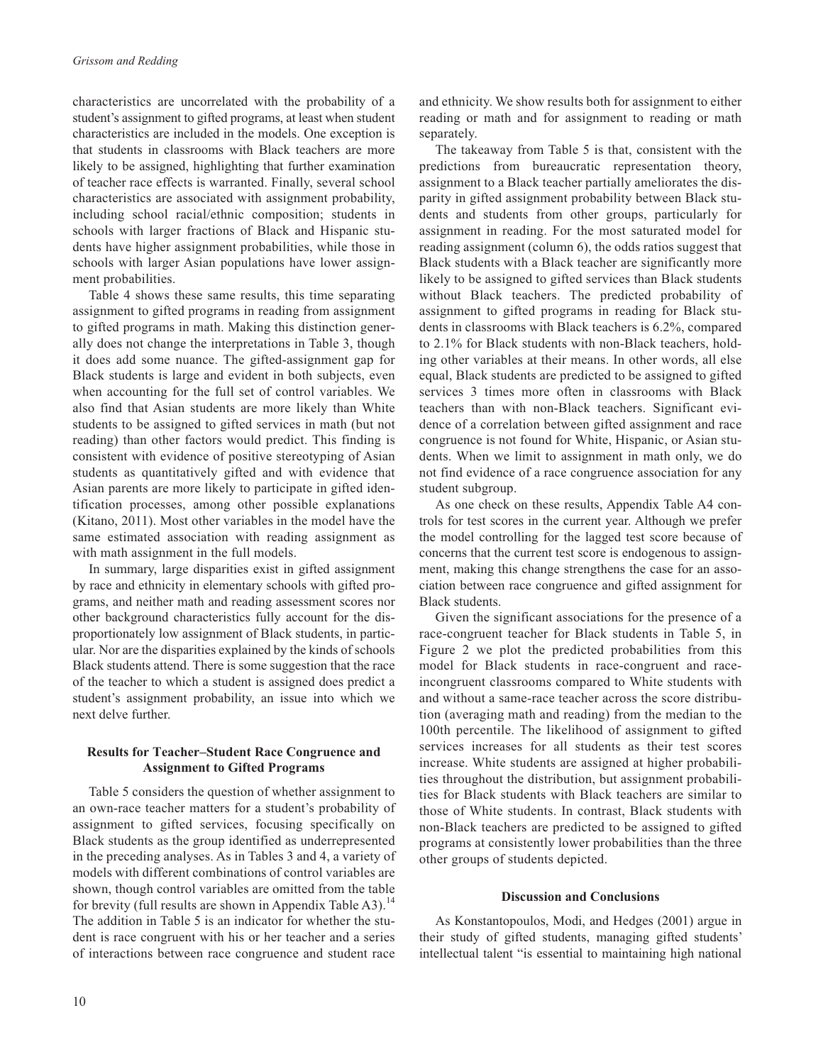characteristics are uncorrelated with the probability of a student's assignment to gifted programs, at least when student characteristics are included in the models. One exception is that students in classrooms with Black teachers are more likely to be assigned, highlighting that further examination of teacher race effects is warranted. Finally, several school characteristics are associated with assignment probability, including school racial/ethnic composition; students in schools with larger fractions of Black and Hispanic students have higher assignment probabilities, while those in schools with larger Asian populations have lower assignment probabilities.

Table 4 shows these same results, this time separating assignment to gifted programs in reading from assignment to gifted programs in math. Making this distinction generally does not change the interpretations in Table 3, though it does add some nuance. The gifted-assignment gap for Black students is large and evident in both subjects, even when accounting for the full set of control variables. We also find that Asian students are more likely than White students to be assigned to gifted services in math (but not reading) than other factors would predict. This finding is consistent with evidence of positive stereotyping of Asian students as quantitatively gifted and with evidence that Asian parents are more likely to participate in gifted identification processes, among other possible explanations (Kitano, 2011). Most other variables in the model have the same estimated association with reading assignment as with math assignment in the full models.

In summary, large disparities exist in gifted assignment by race and ethnicity in elementary schools with gifted programs, and neither math and reading assessment scores nor other background characteristics fully account for the disproportionately low assignment of Black students, in particular. Nor are the disparities explained by the kinds of schools Black students attend. There is some suggestion that the race of the teacher to which a student is assigned does predict a student's assignment probability, an issue into which we next delve further.

# **Results for Teacher–Student Race Congruence and Assignment to Gifted Programs**

Table 5 considers the question of whether assignment to an own-race teacher matters for a student's probability of assignment to gifted services, focusing specifically on Black students as the group identified as underrepresented in the preceding analyses. As in Tables 3 and 4, a variety of models with different combinations of control variables are shown, though control variables are omitted from the table for brevity (full results are shown in Appendix Table A3).<sup>14</sup> The addition in Table 5 is an indicator for whether the student is race congruent with his or her teacher and a series of interactions between race congruence and student race

and ethnicity. We show results both for assignment to either reading or math and for assignment to reading or math separately.

The takeaway from Table 5 is that, consistent with the predictions from bureaucratic representation theory, assignment to a Black teacher partially ameliorates the disparity in gifted assignment probability between Black students and students from other groups, particularly for assignment in reading. For the most saturated model for reading assignment (column 6), the odds ratios suggest that Black students with a Black teacher are significantly more likely to be assigned to gifted services than Black students without Black teachers. The predicted probability of assignment to gifted programs in reading for Black students in classrooms with Black teachers is 6.2%, compared to 2.1% for Black students with non-Black teachers, holding other variables at their means. In other words, all else equal, Black students are predicted to be assigned to gifted services 3 times more often in classrooms with Black teachers than with non-Black teachers. Significant evidence of a correlation between gifted assignment and race congruence is not found for White, Hispanic, or Asian students. When we limit to assignment in math only, we do not find evidence of a race congruence association for any student subgroup.

As one check on these results, Appendix Table A4 controls for test scores in the current year. Although we prefer the model controlling for the lagged test score because of concerns that the current test score is endogenous to assignment, making this change strengthens the case for an association between race congruence and gifted assignment for Black students.

Given the significant associations for the presence of a race-congruent teacher for Black students in Table 5, in Figure 2 we plot the predicted probabilities from this model for Black students in race-congruent and raceincongruent classrooms compared to White students with and without a same-race teacher across the score distribution (averaging math and reading) from the median to the 100th percentile. The likelihood of assignment to gifted services increases for all students as their test scores increase. White students are assigned at higher probabilities throughout the distribution, but assignment probabilities for Black students with Black teachers are similar to those of White students. In contrast, Black students with non-Black teachers are predicted to be assigned to gifted programs at consistently lower probabilities than the three other groups of students depicted.

# **Discussion and Conclusions**

As Konstantopoulos, Modi, and Hedges (2001) argue in their study of gifted students, managing gifted students' intellectual talent "is essential to maintaining high national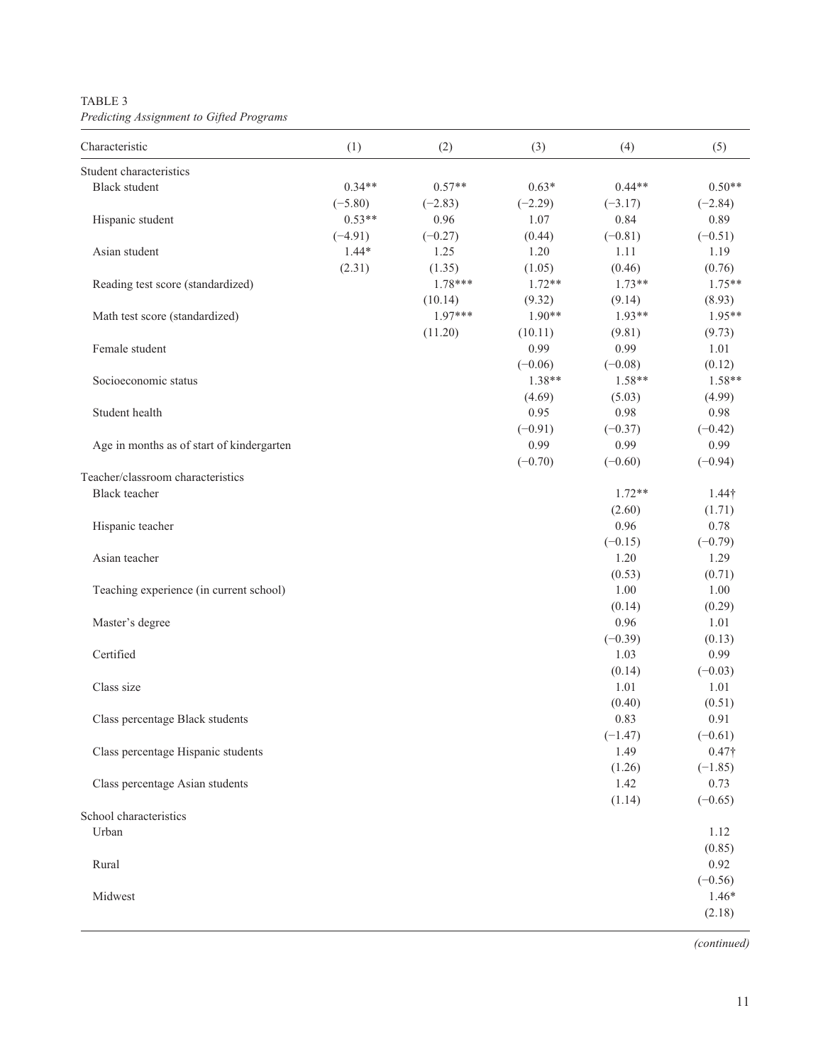TABLE 3 *Predicting Assignment to Gifted Programs*

| Characteristic                            | (1)       | (2)       | (3)       | (4)            | (5)               |
|-------------------------------------------|-----------|-----------|-----------|----------------|-------------------|
| Student characteristics                   |           |           |           |                |                   |
| <b>Black student</b>                      | $0.34**$  | $0.57**$  | $0.63*$   | $0.44**$       | $0.50**$          |
|                                           | $(-5.80)$ | $(-2.83)$ | $(-2.29)$ | $(-3.17)$      | $(-2.84)$         |
| Hispanic student                          | $0.53**$  | 0.96      | 1.07      | 0.84           | 0.89              |
|                                           | $(-4.91)$ | $(-0.27)$ | (0.44)    | $(-0.81)$      | $(-0.51)$         |
| Asian student                             | $1.44*$   | 1.25      | 1.20      | 1.11           | 1.19              |
|                                           | (2.31)    | (1.35)    | (1.05)    | (0.46)         | (0.76)            |
| Reading test score (standardized)         |           | 1.78***   | $1.72**$  | $1.73**$       | $1.75**$          |
|                                           |           | (10.14)   | (9.32)    | (9.14)         | (8.93)            |
| Math test score (standardized)            |           | $1.97***$ | $1.90**$  | $1.93**$       | $1.95**$          |
|                                           |           | (11.20)   | (10.11)   | (9.81)         | (9.73)            |
| Female student                            |           |           | 0.99      | 0.99           | 1.01              |
|                                           |           |           | $(-0.06)$ | $(-0.08)$      | (0.12)            |
| Socioeconomic status                      |           |           | $1.38**$  | $1.58**$       | $1.58**$          |
|                                           |           |           | (4.69)    | (5.03)         | (4.99)            |
| Student health                            |           |           | 0.95      | 0.98           | 0.98              |
|                                           |           |           | $(-0.91)$ | $(-0.37)$      | $(-0.42)$         |
| Age in months as of start of kindergarten |           |           | 0.99      | 0.99           | 0.99              |
|                                           |           |           | $(-0.70)$ | $(-0.60)$      | $(-0.94)$         |
| Teacher/classroom characteristics         |           |           |           |                |                   |
| <b>Black</b> teacher                      |           |           |           | $1.72**$       | $1.44\dagger$     |
|                                           |           |           |           | (2.60)         | (1.71)            |
| Hispanic teacher                          |           |           |           | 0.96           | 0.78              |
|                                           |           |           |           | $(-0.15)$      | $(-0.79)$         |
| Asian teacher                             |           |           |           | 1.20           | 1.29              |
|                                           |           |           |           | (0.53)         | (0.71)            |
| Teaching experience (in current school)   |           |           |           | 1.00           | 1.00              |
|                                           |           |           |           | (0.14)         | (0.29)            |
| Master's degree                           |           |           |           | 0.96           | 1.01              |
|                                           |           |           |           | $(-0.39)$      | (0.13)            |
| Certified                                 |           |           |           | 1.03           | 0.99              |
|                                           |           |           |           | (0.14)         | $(-0.03)$         |
| Class size                                |           |           |           | 1.01           | 1.01              |
|                                           |           |           |           | (0.40)         | (0.51)            |
|                                           |           |           |           | 0.83           | 0.91              |
| Class percentage Black students           |           |           |           | $(-1.47)$      | $(-0.61)$         |
| Class percentage Hispanic students        |           |           |           | 1.49           | $0.47\dagger$     |
|                                           |           |           |           |                |                   |
| Class percentage Asian students           |           |           |           | (1.26)<br>1.42 | $(-1.85)$<br>0.73 |
|                                           |           |           |           |                |                   |
|                                           |           |           |           | (1.14)         | $(-0.65)$         |
| School characteristics                    |           |           |           |                | 1.12              |
| Urban                                     |           |           |           |                |                   |
|                                           |           |           |           |                | (0.85)            |
| Rural                                     |           |           |           |                | 0.92              |
|                                           |           |           |           |                | $(-0.56)$         |
| Midwest                                   |           |           |           |                | $1.46*$           |
|                                           |           |           |           |                | (2.18)            |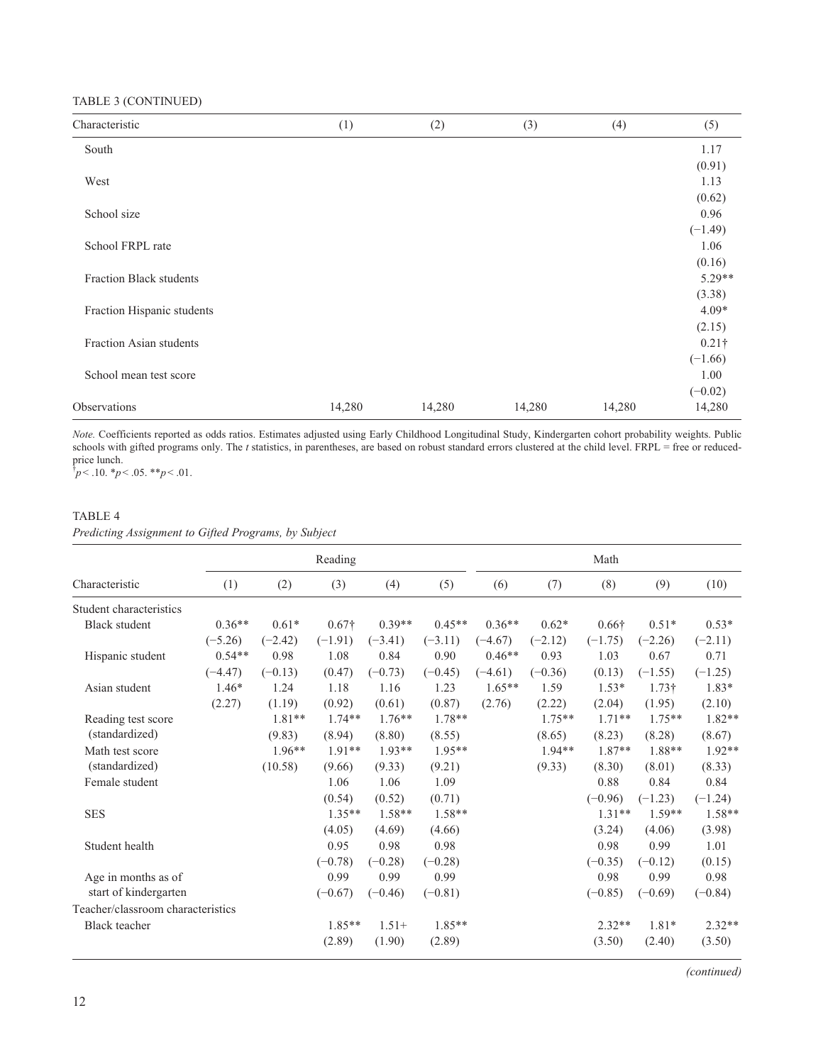TABLE 3 (CONTINUED)

| Characteristic                 | (1)    | (2)    | (3)    | (4)    | (5)           |
|--------------------------------|--------|--------|--------|--------|---------------|
| South                          |        |        |        |        | 1.17          |
|                                |        |        |        |        | (0.91)        |
| West                           |        |        |        |        | 1.13          |
|                                |        |        |        |        | (0.62)        |
| School size                    |        |        |        |        | 0.96          |
|                                |        |        |        |        | $(-1.49)$     |
| School FRPL rate               |        |        |        |        | 1.06          |
|                                |        |        |        |        | (0.16)        |
| <b>Fraction Black students</b> |        |        |        |        | 5.29**        |
|                                |        |        |        |        | (3.38)        |
| Fraction Hispanic students     |        |        |        |        | $4.09*$       |
|                                |        |        |        |        | (2.15)        |
| Fraction Asian students        |        |        |        |        | $0.21\dagger$ |
|                                |        |        |        |        | $(-1.66)$     |
| School mean test score         |        |        |        |        | 1.00          |
|                                |        |        |        |        | $(-0.02)$     |
| Observations                   | 14,280 | 14,280 | 14,280 | 14,280 | 14,280        |

*Note.* Coefficients reported as odds ratios. Estimates adjusted using Early Childhood Longitudinal Study, Kindergarten cohort probability weights. Public schools with gifted programs only. The *t* statistics, in parentheses, are based on robust standard errors clustered at the child level. FRPL = free or reducedprice lunch.

 $\bar{f}_p$ <.10.  $\ast_p$ <.05.  $\ast\ast_p$ <.01.

# TABLE 4 *Predicting Assignment to Gifted Programs, by Subject*

|                                   |           |           | Reading       |           |           | Math      |           |               |               |           |
|-----------------------------------|-----------|-----------|---------------|-----------|-----------|-----------|-----------|---------------|---------------|-----------|
| Characteristic                    | (1)       | (2)       | (3)           | (4)       | (5)       | (6)       | (7)       | (8)           | (9)           | (10)      |
| Student characteristics           |           |           |               |           |           |           |           |               |               |           |
| <b>Black student</b>              | $0.36**$  | $0.61*$   | $0.67\dagger$ | $0.39**$  | $0.45**$  | $0.36**$  | $0.62*$   | $0.66\dagger$ | $0.51*$       | $0.53*$   |
|                                   | $(-5.26)$ | $(-2.42)$ | $(-1.91)$     | $(-3.41)$ | $(-3.11)$ | $(-4.67)$ | $(-2.12)$ | $(-1.75)$     | $(-2.26)$     | $(-2.11)$ |
| Hispanic student                  | $0.54**$  | 0.98      | 1.08          | 0.84      | 0.90      | $0.46**$  | 0.93      | 1.03          | 0.67          | 0.71      |
|                                   | $(-4.47)$ | $(-0.13)$ | (0.47)        | $(-0.73)$ | $(-0.45)$ | $(-4.61)$ | $(-0.36)$ | (0.13)        | $(-1.55)$     | $(-1.25)$ |
| Asian student                     | $1.46*$   | 1.24      | 1.18          | 1.16      | 1.23      | $1.65**$  | 1.59      | $1.53*$       | $1.73\dagger$ | 1.83*     |
|                                   | (2.27)    | (1.19)    | (0.92)        | (0.61)    | (0.87)    | (2.76)    | (2.22)    | (2.04)        | (1.95)        | (2.10)    |
| Reading test score                |           | $1.81**$  | $1.74**$      | $1.76**$  | $1.78**$  |           | $1.75**$  | $1.71**$      | $1.75**$      | 1.82**    |
| (standardized)                    |           | (9.83)    | (8.94)        | (8.80)    | (8.55)    |           | (8.65)    | (8.23)        | (8.28)        | (8.67)    |
| Math test score                   |           | $1.96**$  | $1.91**$      | $1.93**$  | 1.95**    |           | $1.94**$  | $1.87**$      | 1.88**        | 1.92**    |
| (standardized)                    |           | (10.58)   | (9.66)        | (9.33)    | (9.21)    |           | (9.33)    | (8.30)        | (8.01)        | (8.33)    |
| Female student                    |           |           | 1.06          | 1.06      | 1.09      |           |           | 0.88          | 0.84          | 0.84      |
|                                   |           |           | (0.54)        | (0.52)    | (0.71)    |           |           | $(-0.96)$     | $(-1.23)$     | $(-1.24)$ |
| <b>SES</b>                        |           |           | $1.35**$      | $1.58**$  | 1.58**    |           |           | $1.31**$      | $1.59**$      | $1.58**$  |
|                                   |           |           | (4.05)        | (4.69)    | (4.66)    |           |           | (3.24)        | (4.06)        | (3.98)    |
| Student health                    |           |           | 0.95          | 0.98      | 0.98      |           |           | 0.98          | 0.99          | 1.01      |
|                                   |           |           | $(-0.78)$     | $(-0.28)$ | $(-0.28)$ |           |           | $(-0.35)$     | $(-0.12)$     | (0.15)    |
| Age in months as of               |           |           | 0.99          | 0.99      | 0.99      |           |           | 0.98          | 0.99          | 0.98      |
| start of kindergarten             |           |           | $(-0.67)$     | $(-0.46)$ | $(-0.81)$ |           |           | $(-0.85)$     | $(-0.69)$     | $(-0.84)$ |
| Teacher/classroom characteristics |           |           |               |           |           |           |           |               |               |           |
| <b>Black</b> teacher              |           |           | $1.85**$      | $1.51+$   | $1.85**$  |           |           | $2.32**$      | $1.81*$       | $2.32**$  |
|                                   |           |           | (2.89)        | (1.90)    | (2.89)    |           |           | (3.50)        | (2.40)        | (3.50)    |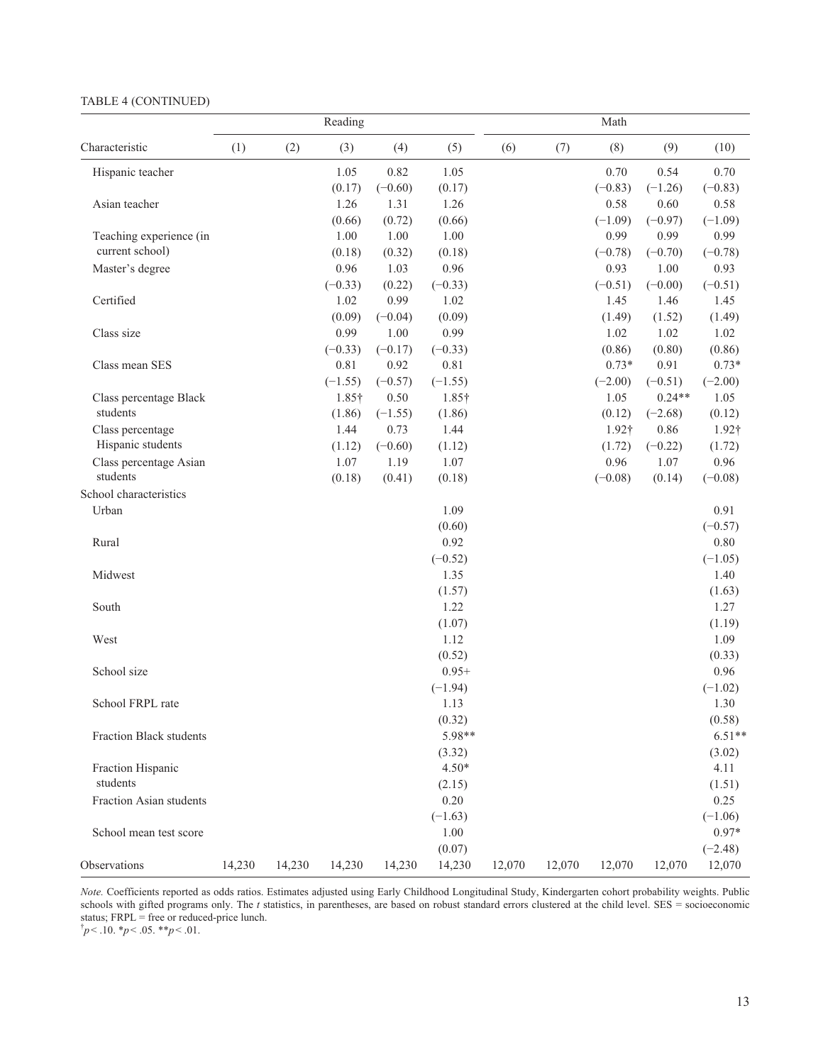# TABLE 4 (CONTINUED)

|                                |        |        | Reading   |           |           | Math   |        |               |           |               |
|--------------------------------|--------|--------|-----------|-----------|-----------|--------|--------|---------------|-----------|---------------|
| Characteristic                 | (1)    | (2)    | (3)       | (4)       | (5)       | (6)    | (7)    | (8)           | (9)       | (10)          |
| Hispanic teacher               |        |        | 1.05      | 0.82      | 1.05      |        |        | 0.70          | 0.54      | 0.70          |
|                                |        |        | (0.17)    | $(-0.60)$ | (0.17)    |        |        | $(-0.83)$     | $(-1.26)$ | $(-0.83)$     |
| Asian teacher                  |        |        | 1.26      | 1.31      | 1.26      |        |        | 0.58          | 0.60      | 0.58          |
|                                |        |        | (0.66)    | (0.72)    | (0.66)    |        |        | $(-1.09)$     | $(-0.97)$ | $(-1.09)$     |
| Teaching experience (in        |        |        | 1.00      | 1.00      | 1.00      |        |        | 0.99          | 0.99      | 0.99          |
| current school)                |        |        | (0.18)    | (0.32)    | (0.18)    |        |        | $(-0.78)$     | $(-0.70)$ | $(-0.78)$     |
| Master's degree                |        |        | 0.96      | 1.03      | 0.96      |        |        | 0.93          | 1.00      | 0.93          |
|                                |        |        | $(-0.33)$ | (0.22)    | $(-0.33)$ |        |        | $(-0.51)$     | $(-0.00)$ | $(-0.51)$     |
| Certified                      |        |        | 1.02      | 0.99      | 1.02      |        |        | 1.45          | 1.46      | 1.45          |
|                                |        |        | (0.09)    | $(-0.04)$ | (0.09)    |        |        | (1.49)        | (1.52)    | (1.49)        |
| Class size                     |        |        | 0.99      | 1.00      | 0.99      |        |        | 1.02          | 1.02      | 1.02          |
|                                |        |        | $(-0.33)$ | $(-0.17)$ | $(-0.33)$ |        |        | (0.86)        | (0.80)    | (0.86)        |
| Class mean SES                 |        |        | 0.81      | 0.92      | 0.81      |        |        | $0.73*$       | 0.91      | $0.73*$       |
|                                |        |        | $(-1.55)$ | $(-0.57)$ | $(-1.55)$ |        |        | $(-2.00)$     | $(-0.51)$ | $(-2.00)$     |
| Class percentage Black         |        |        | 1.85†     | 0.50      | 1.85†     |        |        | 1.05          | $0.24**$  | 1.05          |
| students                       |        |        | (1.86)    | $(-1.55)$ | (1.86)    |        |        | (0.12)        | $(-2.68)$ | (0.12)        |
| Class percentage               |        |        | 1.44      | 0.73      | 1.44      |        |        | $1.92\dagger$ | 0.86      | $1.92\dagger$ |
| Hispanic students              |        |        | (1.12)    | $(-0.60)$ | (1.12)    |        |        | (1.72)        | $(-0.22)$ | (1.72)        |
| Class percentage Asian         |        |        | 1.07      | 1.19      | 1.07      |        |        | 0.96          | 1.07      | 0.96          |
| students                       |        |        | (0.18)    | (0.41)    | (0.18)    |        |        | $(-0.08)$     | (0.14)    | $(-0.08)$     |
| School characteristics         |        |        |           |           |           |        |        |               |           |               |
| Urban                          |        |        |           |           | 1.09      |        |        |               |           | 0.91          |
|                                |        |        |           |           | (0.60)    |        |        |               |           | $(-0.57)$     |
| Rural                          |        |        |           |           | 0.92      |        |        |               |           | $0.80\,$      |
|                                |        |        |           |           | $(-0.52)$ |        |        |               |           | $(-1.05)$     |
| Midwest                        |        |        |           |           | 1.35      |        |        |               |           | 1.40          |
|                                |        |        |           |           | (1.57)    |        |        |               |           | (1.63)        |
| South                          |        |        |           |           | 1.22      |        |        |               |           | 1.27          |
|                                |        |        |           |           | (1.07)    |        |        |               |           | (1.19)        |
| West                           |        |        |           |           | 1.12      |        |        |               |           | 1.09          |
|                                |        |        |           |           | (0.52)    |        |        |               |           | (0.33)        |
| School size                    |        |        |           |           | $0.95+$   |        |        |               |           | 0.96          |
|                                |        |        |           |           | $(-1.94)$ |        |        |               |           | $(-1.02)$     |
| School FRPL rate               |        |        |           |           | 1.13      |        |        |               |           | 1.30          |
|                                |        |        |           |           | (0.32)    |        |        |               |           | (0.58)        |
| <b>Fraction Black students</b> |        |        |           |           | 5.98**    |        |        |               |           | $6.51**$      |
|                                |        |        |           |           | (3.32)    |        |        |               |           | (3.02)        |
| Fraction Hispanic              |        |        |           |           | $4.50*$   |        |        |               |           | 4.11          |
| students                       |        |        |           |           | (2.15)    |        |        |               |           | (1.51)        |
| <b>Fraction Asian students</b> |        |        |           |           | 0.20      |        |        |               |           | 0.25          |
|                                |        |        |           |           | $(-1.63)$ |        |        |               |           | $(-1.06)$     |
| School mean test score         |        |        |           |           | 1.00      |        |        |               |           | $0.97*$       |
|                                |        |        |           |           | (0.07)    |        |        |               |           | $(-2.48)$     |
| Observations                   | 14,230 | 14,230 | 14,230    | 14,230    | 14,230    | 12,070 | 12,070 | 12,070        | 12,070    | 12,070        |

*Note.* Coefficients reported as odds ratios. Estimates adjusted using Early Childhood Longitudinal Study, Kindergarten cohort probability weights. Public schools with gifted programs only. The *t* statistics, in parentheses, are based on robust standard errors clustered at the child level. SES = socioeconomic status; FRPL = free or reduced-price lunch.

 $\phi$ <sup>+</sup> $p$  < .10. \* $p$  < .05. \*\* $p$  < .01.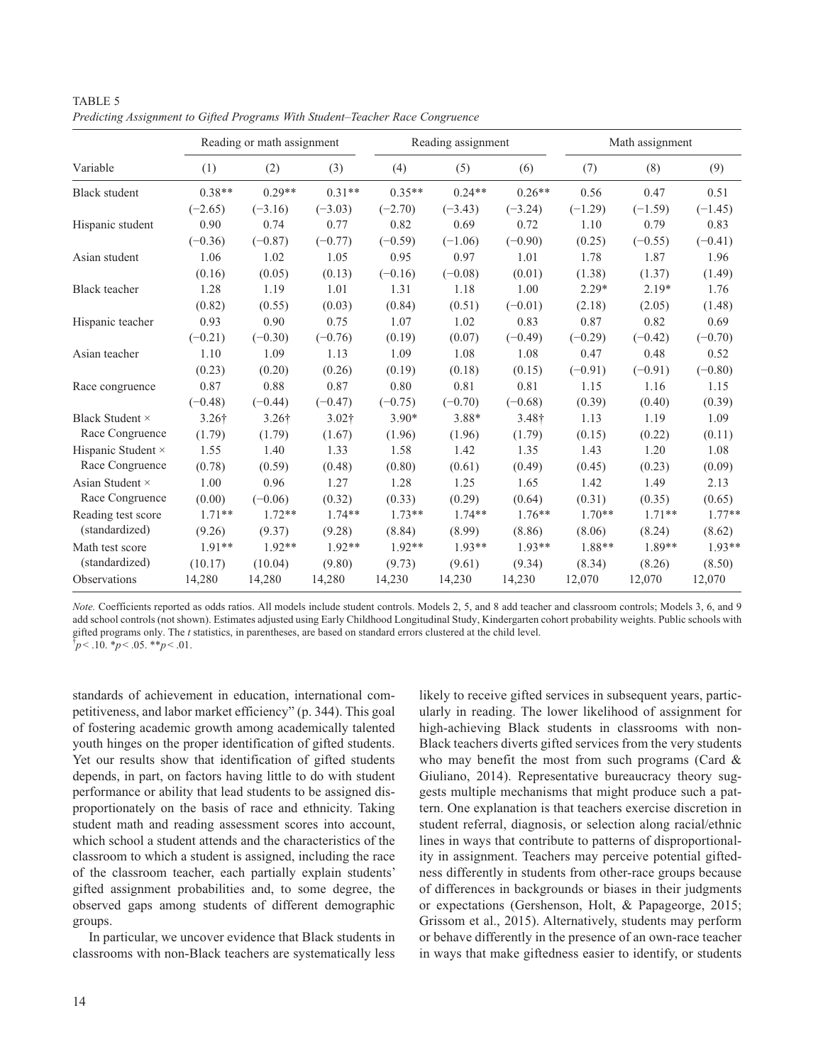| TABLE 5                                                                       |  |  |
|-------------------------------------------------------------------------------|--|--|
| Predicting Assignment to Gifted Programs With Student–Teacher Race Congruence |  |  |

|                      |                   | Reading or math assignment |                   |           | Reading assignment |                   | Math assignment |           |           |  |
|----------------------|-------------------|----------------------------|-------------------|-----------|--------------------|-------------------|-----------------|-----------|-----------|--|
| Variable             | (1)               | (2)                        | (3)               | (4)       | (5)                | (6)               | (7)             | (8)       | (9)       |  |
| <b>Black student</b> | $0.38**$          | $0.29**$                   | $0.31**$          | $0.35**$  | $0.24**$           | $0.26**$          | 0.56            | 0.47      | 0.51      |  |
|                      | $(-2.65)$         | $(-3.16)$                  | $(-3.03)$         | $(-2.70)$ | $(-3.43)$          | $(-3.24)$         | $(-1.29)$       | $(-1.59)$ | $(-1.45)$ |  |
| Hispanic student     | 0.90              | 0.74                       | 0.77              | 0.82      | 0.69               | 0.72              | 1.10            | 0.79      | 0.83      |  |
|                      | $(-0.36)$         | $(-0.87)$                  | $(-0.77)$         | $(-0.59)$ | $(-1.06)$          | $(-0.90)$         | (0.25)          | $(-0.55)$ | $(-0.41)$ |  |
| Asian student        | 1.06              | 1.02                       | 1.05              | 0.95      | 0.97               | 1.01              | 1.78            | 1.87      | 1.96      |  |
|                      | (0.16)            | (0.05)                     | (0.13)            | $(-0.16)$ | $(-0.08)$          | (0.01)            | (1.38)          | (1.37)    | (1.49)    |  |
| <b>Black</b> teacher | 1.28              | 1.19                       | 1.01              | 1.31      | 1.18               | 1.00              | $2.29*$         | $2.19*$   | 1.76      |  |
|                      | (0.82)            | (0.55)                     | (0.03)            | (0.84)    | (0.51)             | $(-0.01)$         | (2.18)          | (2.05)    | (1.48)    |  |
| Hispanic teacher     | 0.93              | 0.90                       | 0.75              | 1.07      | 1.02               | 0.83              | 0.87            | 0.82      | 0.69      |  |
|                      | $(-0.21)$         | $(-0.30)$                  | $(-0.76)$         | (0.19)    | (0.07)             | $(-0.49)$         | $(-0.29)$       | $(-0.42)$ | $(-0.70)$ |  |
| Asian teacher        | 1.10              | 1.09                       | 1.13              | 1.09      | 1.08               | 1.08              | 0.47            | 0.48      | 0.52      |  |
|                      | (0.23)            | (0.20)                     | (0.26)            | (0.19)    | (0.18)             | (0.15)            | $(-0.91)$       | $(-0.91)$ | $(-0.80)$ |  |
| Race congruence      | 0.87              | 0.88                       | 0.87              | 0.80      | 0.81               | 0.81              | 1.15            | 1.16      | 1.15      |  |
|                      | $(-0.48)$         | $(-0.44)$                  | $(-0.47)$         | $(-0.75)$ | $(-0.70)$          | $(-0.68)$         | (0.39)          | (0.40)    | (0.39)    |  |
| Black Student ×      | 3.26 <sup>†</sup> | 3.26 <sup>†</sup>          | 3.02 <sub>†</sub> | $3.90*$   | 3.88*              | 3.48 <sup>†</sup> | 1.13            | 1.19      | 1.09      |  |
| Race Congruence      | (1.79)            | (1.79)                     | (1.67)            | (1.96)    | (1.96)             | (1.79)            | (0.15)          | (0.22)    | (0.11)    |  |
| Hispanic Student ×   | 1.55              | 1.40                       | 1.33              | 1.58      | 1.42               | 1.35              | 1.43            | 1.20      | 1.08      |  |
| Race Congruence      | (0.78)            | (0.59)                     | (0.48)            | (0.80)    | (0.61)             | (0.49)            | (0.45)          | (0.23)    | (0.09)    |  |
| Asian Student ×      | 1.00              | 0.96                       | 1.27              | 1.28      | 1.25               | 1.65              | 1.42            | 1.49      | 2.13      |  |
| Race Congruence      | (0.00)            | $(-0.06)$                  | (0.32)            | (0.33)    | (0.29)             | (0.64)            | (0.31)          | (0.35)    | (0.65)    |  |
| Reading test score   | $1.71**$          | $1.72**$                   | $1.74**$          | $1.73**$  | $1.74**$           | $1.76**$          | $1.70**$        | $1.71**$  | $1.77**$  |  |
| (standardized)       | (9.26)            | (9.37)                     | (9.28)            | (8.84)    | (8.99)             | (8.86)            | (8.06)          | (8.24)    | (8.62)    |  |
| Math test score      | $1.91**$          | $1.92**$                   | $1.92**$          | $1.92**$  | $1.93**$           | $1.93**$          | 1.88**          | 1.89**    | $1.93**$  |  |
| (standardized)       | (10.17)           | (10.04)                    | (9.80)            | (9.73)    | (9.61)             | (9.34)            | (8.34)          | (8.26)    | (8.50)    |  |
| Observations         | 14,280            | 14,280                     | 14,280            | 14,230    | 14,230             | 14,230            | 12,070          | 12,070    | 12,070    |  |

*Note.* Coefficients reported as odds ratios. All models include student controls. Models 2, 5, and 8 add teacher and classroom controls; Models 3, 6, and 9 add school controls (not shown). Estimates adjusted using Early Childhood Longitudinal Study, Kindergarten cohort probability weights. Public schools with gifted programs only. The *t* statistics, in parentheses, are based on standard errors clustered at the child level.

 $\bar{p}$  < .10.  $\bar{p}$  < .05. \*\* *p* < .01.

standards of achievement in education, international competitiveness, and labor market efficiency" (p. 344). This goal of fostering academic growth among academically talented youth hinges on the proper identification of gifted students. Yet our results show that identification of gifted students depends, in part, on factors having little to do with student performance or ability that lead students to be assigned disproportionately on the basis of race and ethnicity. Taking student math and reading assessment scores into account, which school a student attends and the characteristics of the classroom to which a student is assigned, including the race of the classroom teacher, each partially explain students' gifted assignment probabilities and, to some degree, the observed gaps among students of different demographic groups.

In particular, we uncover evidence that Black students in classrooms with non-Black teachers are systematically less

likely to receive gifted services in subsequent years, particularly in reading. The lower likelihood of assignment for high-achieving Black students in classrooms with non-Black teachers diverts gifted services from the very students who may benefit the most from such programs (Card  $\&$ Giuliano, 2014). Representative bureaucracy theory suggests multiple mechanisms that might produce such a pattern. One explanation is that teachers exercise discretion in student referral, diagnosis, or selection along racial/ethnic lines in ways that contribute to patterns of disproportionality in assignment. Teachers may perceive potential giftedness differently in students from other-race groups because of differences in backgrounds or biases in their judgments or expectations (Gershenson, Holt, & Papageorge, 2015; Grissom et al., 2015). Alternatively, students may perform or behave differently in the presence of an own-race teacher in ways that make giftedness easier to identify, or students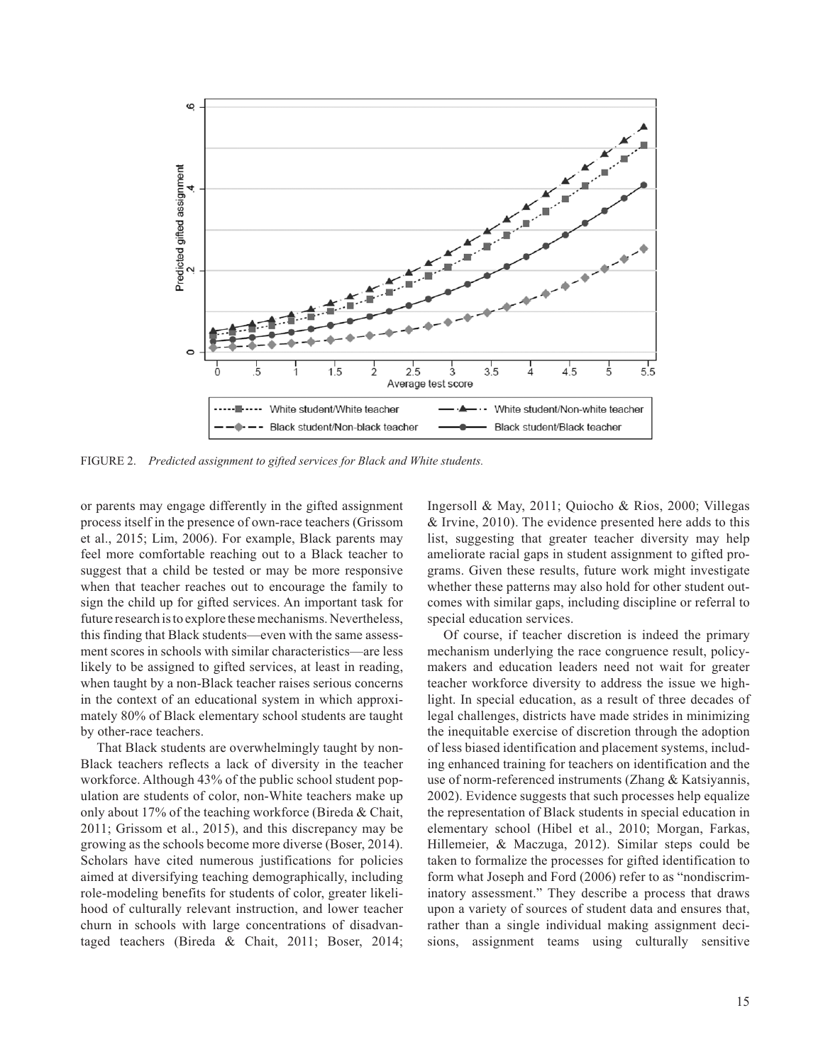

FIGURE 2. Predicted assignment to gifted services for Black and White students.

or parents may engage differently in the gifted assignment process itself in the presence of own-race teachers (Grissom et al., 2015; Lim, 2006). For example, Black parents may feel more comfortable reaching out to a Black teacher to suggest that a child be tested or may be more responsive when that teacher reaches out to encourage the family to sign the child up for gifted services. An important task for future research is to explore these mechanisms. Nevertheless, this finding that Black students—even with the same assessment scores in schools with similar characteristics—are less likely to be assigned to gifted services, at least in reading, when taught by a non-Black teacher raises serious concerns in the context of an educational system in which approximately 80% of Black elementary school students are taught by other-race teachers.

That Black students are overwhelmingly taught by non-Black teachers reflects a lack of diversity in the teacher workforce. Although 43% of the public school student population are students of color, non-White teachers make up only about 17% of the teaching workforce (Bireda & Chait, 2011; Grissom et al., 2015), and this discrepancy may be growing as the schools become more diverse (Boser, 2014). Scholars have cited numerous justifications for policies aimed at diversifying teaching demographically, including role-modeling benefits for students of color, greater likelihood of culturally relevant instruction, and lower teacher churn in schools with large concentrations of disadvantaged teachers (Bireda & Chait, 2011; Boser, 2014; Ingersoll & May, 2011; Quiocho & Rios, 2000; Villegas & Irvine, 2010). The evidence presented here adds to this list, suggesting that greater teacher diversity may help ameliorate racial gaps in student assignment to gifted programs. Given these results, future work might investigate whether these patterns may also hold for other student outcomes with similar gaps, including discipline or referral to special education services.

Of course, if teacher discretion is indeed the primary mechanism underlying the race congruence result, policymakers and education leaders need not wait for greater teacher workforce diversity to address the issue we highlight. In special education, as a result of three decades of legal challenges, districts have made strides in minimizing the inequitable exercise of discretion through the adoption of less biased identification and placement systems, including enhanced training for teachers on identification and the use of norm-referenced instruments (Zhang & Katsiyannis, 2002). Evidence suggests that such processes help equalize the representation of Black students in special education in elementary school (Hibel et al., 2010; Morgan, Farkas, Hillemeier, & Maczuga, 2012). Similar steps could be taken to formalize the processes for gifted identification to form what Joseph and Ford (2006) refer to as "nondiscriminatory assessment." They describe a process that draws upon a variety of sources of student data and ensures that, rather than a single individual making assignment decisions, assignment teams using culturally sensitive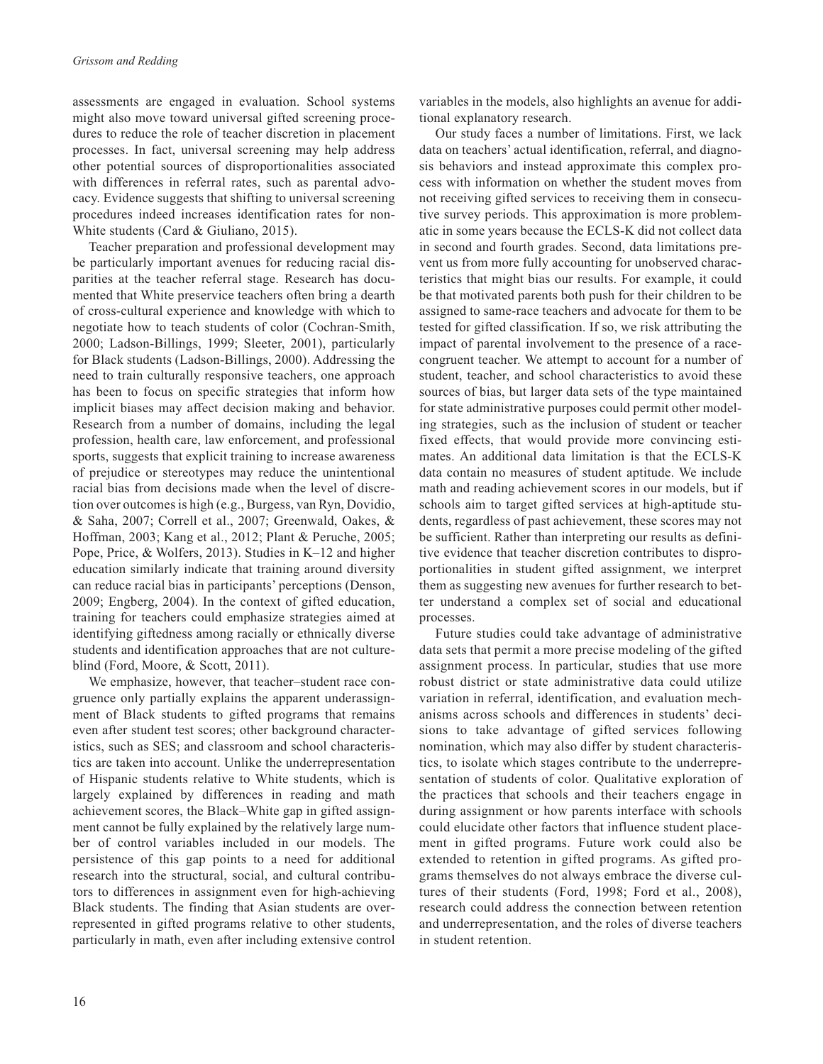assessments are engaged in evaluation. School systems might also move toward universal gifted screening procedures to reduce the role of teacher discretion in placement processes. In fact, universal screening may help address other potential sources of disproportionalities associated with differences in referral rates, such as parental advocacy. Evidence suggests that shifting to universal screening procedures indeed increases identification rates for non-White students (Card & Giuliano, 2015).

Teacher preparation and professional development may be particularly important avenues for reducing racial disparities at the teacher referral stage. Research has documented that White preservice teachers often bring a dearth of cross-cultural experience and knowledge with which to negotiate how to teach students of color (Cochran-Smith, 2000; Ladson-Billings, 1999; Sleeter, 2001), particularly for Black students (Ladson-Billings, 2000). Addressing the need to train culturally responsive teachers, one approach has been to focus on specific strategies that inform how implicit biases may affect decision making and behavior. Research from a number of domains, including the legal profession, health care, law enforcement, and professional sports, suggests that explicit training to increase awareness of prejudice or stereotypes may reduce the unintentional racial bias from decisions made when the level of discretion over outcomes is high (e.g., Burgess, van Ryn, Dovidio, & Saha, 2007; Correll et al., 2007; Greenwald, Oakes, & Hoffman, 2003; Kang et al., 2012; Plant & Peruche, 2005; Pope, Price, & Wolfers, 2013). Studies in K–12 and higher education similarly indicate that training around diversity can reduce racial bias in participants' perceptions (Denson, 2009; Engberg, 2004). In the context of gifted education, training for teachers could emphasize strategies aimed at identifying giftedness among racially or ethnically diverse students and identification approaches that are not cultureblind (Ford, Moore, & Scott, 2011).

We emphasize, however, that teacher–student race congruence only partially explains the apparent underassignment of Black students to gifted programs that remains even after student test scores; other background characteristics, such as SES; and classroom and school characteristics are taken into account. Unlike the underrepresentation of Hispanic students relative to White students, which is largely explained by differences in reading and math achievement scores, the Black–White gap in gifted assignment cannot be fully explained by the relatively large number of control variables included in our models. The persistence of this gap points to a need for additional research into the structural, social, and cultural contributors to differences in assignment even for high-achieving Black students. The finding that Asian students are overrepresented in gifted programs relative to other students, particularly in math, even after including extensive control variables in the models, also highlights an avenue for additional explanatory research.

Our study faces a number of limitations. First, we lack data on teachers' actual identification, referral, and diagnosis behaviors and instead approximate this complex process with information on whether the student moves from not receiving gifted services to receiving them in consecutive survey periods. This approximation is more problematic in some years because the ECLS-K did not collect data in second and fourth grades. Second, data limitations prevent us from more fully accounting for unobserved characteristics that might bias our results. For example, it could be that motivated parents both push for their children to be assigned to same-race teachers and advocate for them to be tested for gifted classification. If so, we risk attributing the impact of parental involvement to the presence of a racecongruent teacher. We attempt to account for a number of student, teacher, and school characteristics to avoid these sources of bias, but larger data sets of the type maintained for state administrative purposes could permit other modeling strategies, such as the inclusion of student or teacher fixed effects, that would provide more convincing estimates. An additional data limitation is that the ECLS-K data contain no measures of student aptitude. We include math and reading achievement scores in our models, but if schools aim to target gifted services at high-aptitude students, regardless of past achievement, these scores may not be sufficient. Rather than interpreting our results as definitive evidence that teacher discretion contributes to disproportionalities in student gifted assignment, we interpret them as suggesting new avenues for further research to better understand a complex set of social and educational processes.

Future studies could take advantage of administrative data sets that permit a more precise modeling of the gifted assignment process. In particular, studies that use more robust district or state administrative data could utilize variation in referral, identification, and evaluation mechanisms across schools and differences in students' decisions to take advantage of gifted services following nomination, which may also differ by student characteristics, to isolate which stages contribute to the underrepresentation of students of color. Qualitative exploration of the practices that schools and their teachers engage in during assignment or how parents interface with schools could elucidate other factors that influence student placement in gifted programs. Future work could also be extended to retention in gifted programs. As gifted programs themselves do not always embrace the diverse cultures of their students (Ford, 1998; Ford et al., 2008), research could address the connection between retention and underrepresentation, and the roles of diverse teachers in student retention.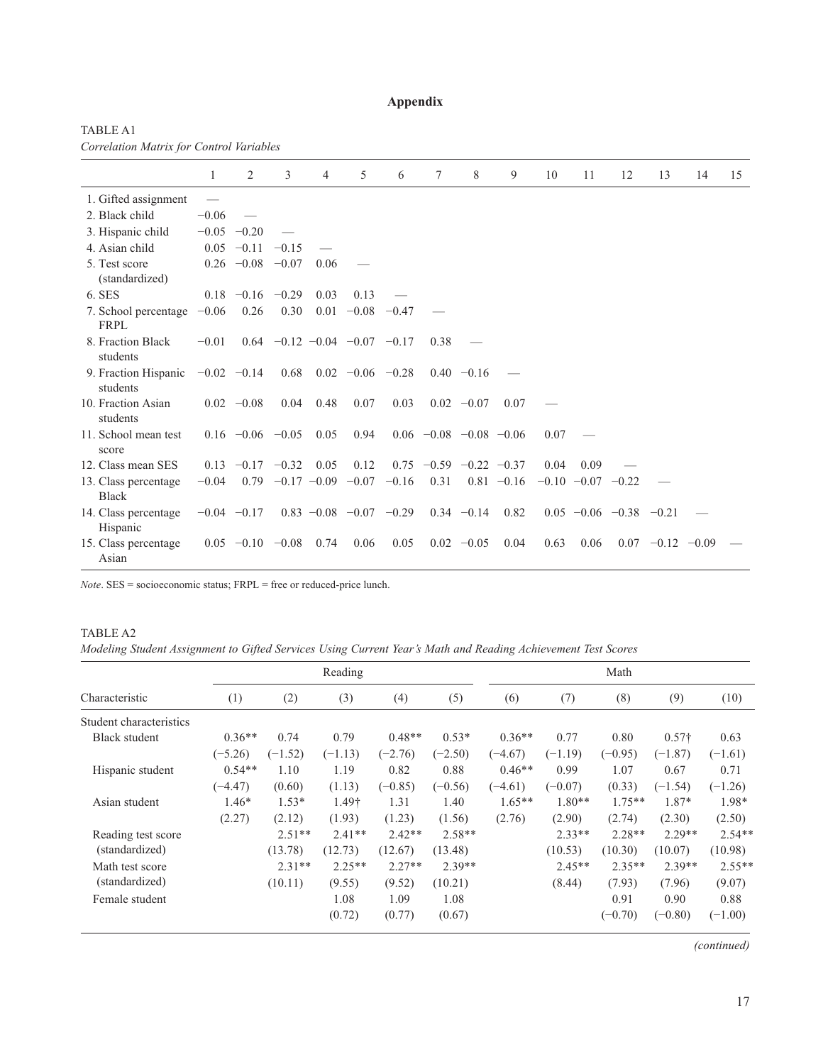# **Appendix**

# TABLE A1 *Correlation Matrix for Control Variables*

|                                                  | $\mathbf{1}$ | 2                  | 3    | 4    | 5                                          | 6    | 7                        | 8            | 9                              | 10   | 11   | 12                       | 13                 | 14 | 15 |
|--------------------------------------------------|--------------|--------------------|------|------|--------------------------------------------|------|--------------------------|--------------|--------------------------------|------|------|--------------------------|--------------------|----|----|
| 1. Gifted assignment                             |              |                    |      |      |                                            |      |                          |              |                                |      |      |                          |                    |    |    |
| 2. Black child                                   | $-0.06$      | $\qquad \qquad$    |      |      |                                            |      |                          |              |                                |      |      |                          |                    |    |    |
| 3. Hispanic child                                |              | $-0.05 -0.20$      |      |      |                                            |      |                          |              |                                |      |      |                          |                    |    |    |
| 4. Asian child                                   |              | $0.05 -0.11 -0.15$ |      |      |                                            |      |                          |              |                                |      |      |                          |                    |    |    |
| 5. Test score<br>(standardized)                  |              | $0.26 -0.08 -0.07$ |      | 0.06 |                                            |      |                          |              |                                |      |      |                          |                    |    |    |
| 6. SES                                           |              | $0.18 -0.16 -0.29$ |      | 0.03 | 0.13                                       |      |                          |              |                                |      |      |                          |                    |    |    |
| 7. School percentage $-0.06$<br>FRPL             |              | 0.26               | 0.30 | 0.01 | $-0.08$ $-0.47$                            |      |                          |              |                                |      |      |                          |                    |    |    |
| 8. Fraction Black<br>students                    | $-0.01$      |                    |      |      | $0.64 -0.12 -0.04 -0.07 -0.17$             |      | 0.38                     |              |                                |      |      |                          |                    |    |    |
| 9. Fraction Hispanic $-0.02$ $-0.14$<br>students |              |                    |      |      | $0.68$ $0.02$ $-0.06$ $-0.28$              |      |                          | $0.40 -0.16$ |                                |      |      |                          |                    |    |    |
| 10. Fraction Asian<br>students                   |              | $0.02 -0.08$       | 0.04 | 0.48 | 0.07                                       | 0.03 |                          | $0.02 -0.07$ | 0.07                           |      |      |                          |                    |    |    |
| 11. School mean test<br>score                    |              | $0.16 -0.06 -0.05$ |      | 0.05 | 0.94                                       |      | $0.06 -0.08 -0.08 -0.06$ |              |                                | 0.07 |      |                          |                    |    |    |
| 12. Class mean SES                               |              | $0.13 -0.17 -0.32$ |      | 0.05 | 0.12                                       |      | $0.75 -0.59 -0.22 -0.37$ |              |                                | 0.04 | 0.09 |                          |                    |    |    |
| 13. Class percentage<br><b>Black</b>             | $-0.04$      |                    |      |      | $0.79 -0.17 -0.09 -0.07 -0.16$ 0.31        |      |                          |              | $0.81 -0.16 -0.10 -0.07 -0.22$ |      |      |                          |                    |    |    |
| 14. Class percentage<br>Hispanic                 |              | $-0.04$ $-0.17$    |      |      | $0.83 -0.08 -0.07 -0.29$ 0.34 $-0.14$ 0.82 |      |                          |              |                                |      |      | $0.05 -0.06 -0.38 -0.21$ |                    |    |    |
| 15. Class percentage<br>Asian                    |              | $0.05 -0.10 -0.08$ |      | 0.74 | 0.06                                       | 0.05 |                          | $0.02 -0.05$ | 0.04                           | 0.63 | 0.06 |                          | $0.07 -0.12 -0.09$ |    |    |

*Note*. SES = socioeconomic status; FRPL = free or reduced-price lunch.

# TABLE A2

*Modeling Student Assignment to Gifted Services Using Current Year's Math and Reading Achievement Test Scores*

|                         |           |           | Reading   |           |           | Math      |           |           |               |           |
|-------------------------|-----------|-----------|-----------|-----------|-----------|-----------|-----------|-----------|---------------|-----------|
| Characteristic          | (1)       | (2)       | (3)       | (4)       | (5)       | (6)       | (7)       | (8)       | (9)           | (10)      |
| Student characteristics |           |           |           |           |           |           |           |           |               |           |
| Black student           | $0.36**$  | 0.74      | 0.79      | $0.48**$  | $0.53*$   | $0.36**$  | 0.77      | 0.80      | $0.57\dagger$ | 0.63      |
|                         | $(-5.26)$ | $(-1.52)$ | $(-1.13)$ | $(-2.76)$ | $(-2.50)$ | $(-4.67)$ | $(-1.19)$ | $(-0.95)$ | $(-1.87)$     | $(-1.61)$ |
| Hispanic student        | $0.54**$  | 1.10      | 1.19      | 0.82      | 0.88      | $0.46**$  | 0.99      | 1.07      | 0.67          | 0.71      |
|                         | $(-4.47)$ | (0.60)    | (1.13)    | $(-0.85)$ | $(-0.56)$ | $(-4.61)$ | $(-0.07)$ | (0.33)    | $(-1.54)$     | $(-1.26)$ |
| Asian student           | $1.46*$   | $1.53*$   | 1.49†     | 1.31      | 1.40      | $1.65***$ | $1.80**$  | $1.75**$  | 1.87*         | 1.98*     |
|                         | (2.27)    | (2.12)    | (1.93)    | (1.23)    | (1.56)    | (2.76)    | (2.90)    | (2.74)    | (2.30)        | (2.50)    |
| Reading test score      |           | $2.51**$  | $2.41**$  | $2.42**$  | 2.58**    |           | $2.33**$  | $2.28**$  | $2.29**$      | $2.54**$  |
| (standardized)          |           | (13.78)   | (12.73)   | (12.67)   | (13.48)   |           | (10.53)   | (10.30)   | (10.07)       | (10.98)   |
| Math test score         |           | $2.31**$  | $2.25**$  | $2.27**$  | $2.39**$  |           | $2.45**$  | $2.35**$  | $2.39**$      | $2.55**$  |
| (standardized)          |           | (10.11)   | (9.55)    | (9.52)    | (10.21)   |           | (8.44)    | (7.93)    | (7.96)        | (9.07)    |
| Female student          |           |           | 1.08      | 1.09      | 1.08      |           |           | 0.91      | 0.90          | 0.88      |
|                         |           |           | (0.72)    | (0.77)    | (0.67)    |           |           | $(-0.70)$ | $(-0.80)$     | $(-1.00)$ |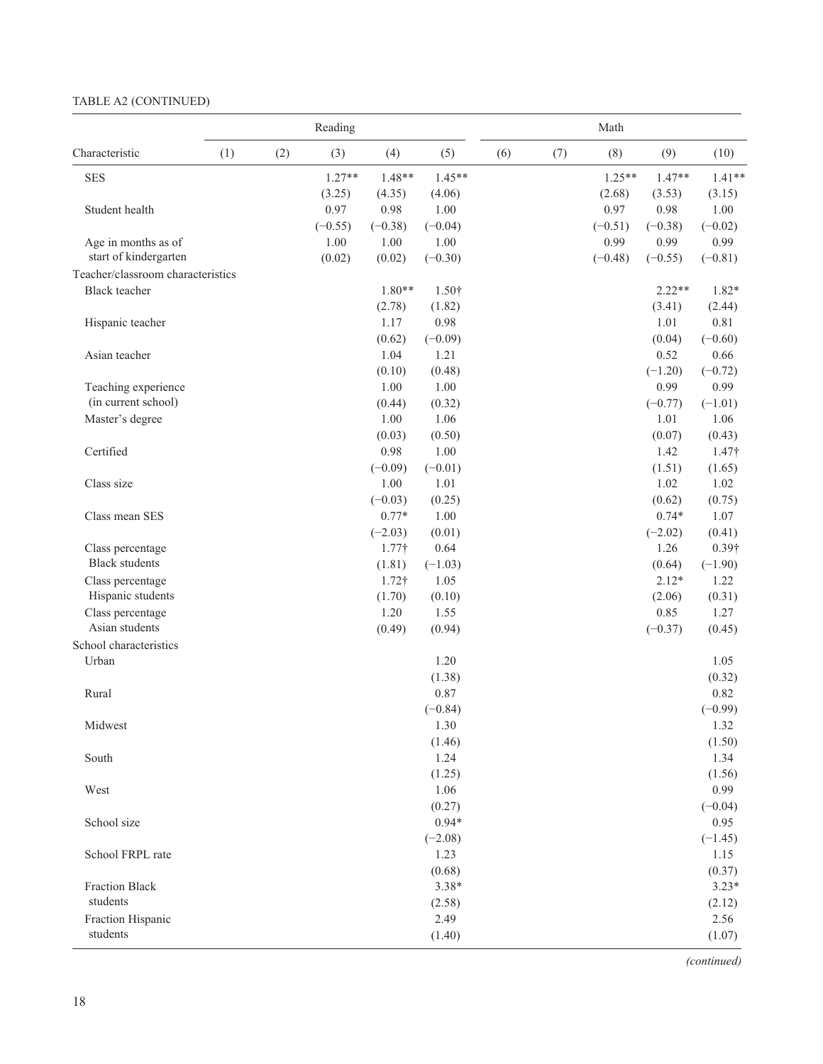# TABLE A2 (CONTINUED)

|                                   |     |     | Reading   |               |           | Math |     |           |           |               |
|-----------------------------------|-----|-----|-----------|---------------|-----------|------|-----|-----------|-----------|---------------|
| Characteristic                    | (1) | (2) | (3)       | (4)           | (5)       | (6)  | (7) | (8)       | (9)       | (10)          |
| <b>SES</b>                        |     |     | $1.27**$  | $1.48**$      | $1.45**$  |      |     | $1.25**$  | $1.47**$  | $1.41**$      |
|                                   |     |     | (3.25)    | (4.35)        | (4.06)    |      |     | (2.68)    | (3.53)    | (3.15)        |
| Student health                    |     |     | 0.97      | 0.98          | 1.00      |      |     | 0.97      | 0.98      | 1.00          |
|                                   |     |     | $(-0.55)$ | $(-0.38)$     | $(-0.04)$ |      |     | $(-0.51)$ | $(-0.38)$ | $(-0.02)$     |
| Age in months as of               |     |     | 1.00      | 1.00          | 1.00      |      |     | 0.99      | 0.99      | 0.99          |
| start of kindergarten             |     |     | (0.02)    | (0.02)        | $(-0.30)$ |      |     | $(-0.48)$ | $(-0.55)$ | $(-0.81)$     |
| Teacher/classroom characteristics |     |     |           |               |           |      |     |           |           |               |
| <b>Black</b> teacher              |     |     |           | 1.80**        | 1.50†     |      |     |           | $2.22**$  | 1.82*         |
|                                   |     |     |           | (2.78)        | (1.82)    |      |     |           | (3.41)    | (2.44)        |
| Hispanic teacher                  |     |     |           | 1.17          | 0.98      |      |     |           | 1.01      | 0.81          |
|                                   |     |     |           | (0.62)        | $(-0.09)$ |      |     |           | (0.04)    | $(-0.60)$     |
| Asian teacher                     |     |     |           | 1.04          | 1.21      |      |     |           | 0.52      | 0.66          |
|                                   |     |     |           | (0.10)        | (0.48)    |      |     |           | $(-1.20)$ | $(-0.72)$     |
| Teaching experience               |     |     |           | 1.00          | 1.00      |      |     |           | 0.99      | 0.99          |
| (in current school)               |     |     |           | (0.44)        | (0.32)    |      |     |           | $(-0.77)$ | $(-1.01)$     |
| Master's degree                   |     |     |           | 1.00          | 1.06      |      |     |           | 1.01      | 1.06          |
|                                   |     |     |           | (0.03)        | (0.50)    |      |     |           | (0.07)    | (0.43)        |
| Certified                         |     |     |           | 0.98          | 1.00      |      |     |           | 1.42      | 1.47†         |
|                                   |     |     |           | $(-0.09)$     | $(-0.01)$ |      |     |           | (1.51)    | (1.65)        |
| Class size                        |     |     |           | 1.00          | 1.01      |      |     |           | 1.02      | 1.02          |
|                                   |     |     |           | $(-0.03)$     | (0.25)    |      |     |           | (0.62)    | (0.75)        |
| Class mean SES                    |     |     |           | $0.77*$       | 1.00      |      |     |           | $0.74*$   | 1.07          |
|                                   |     |     |           | $(-2.03)$     | (0.01)    |      |     |           | $(-2.02)$ | (0.41)        |
| Class percentage                  |     |     |           | $1.77\dagger$ | 0.64      |      |     |           | 1.26      | $0.39\dagger$ |
| <b>Black students</b>             |     |     |           | (1.81)        | $(-1.03)$ |      |     |           | (0.64)    | $(-1.90)$     |
| Class percentage                  |     |     |           | $1.72\dagger$ | 1.05      |      |     |           | $2.12*$   | 1.22          |
| Hispanic students                 |     |     |           | (1.70)        | (0.10)    |      |     |           | (2.06)    | (0.31)        |
| Class percentage                  |     |     |           | 1.20          | 1.55      |      |     |           | 0.85      | 1.27          |
| Asian students                    |     |     |           | (0.49)        | (0.94)    |      |     |           | $(-0.37)$ | (0.45)        |
| School characteristics            |     |     |           |               |           |      |     |           |           |               |
| Urban                             |     |     |           |               | 1.20      |      |     |           |           | 1.05          |
|                                   |     |     |           |               | (1.38)    |      |     |           |           | (0.32)        |
| Rural                             |     |     |           |               | 0.87      |      |     |           |           | 0.82          |
|                                   |     |     |           |               | $(-0.84)$ |      |     |           |           | $(-0.99)$     |
| Midwest                           |     |     |           |               | 1.30      |      |     |           |           | 1.32          |
|                                   |     |     |           |               | (1.46)    |      |     |           |           | (1.50)        |
| South                             |     |     |           |               | 1.24      |      |     |           |           | 1.34          |
|                                   |     |     |           |               | (1.25)    |      |     |           |           | (1.56)        |
| West                              |     |     |           |               | 1.06      |      |     |           |           | 0.99          |
|                                   |     |     |           |               | (0.27)    |      |     |           |           | $(-0.04)$     |
| School size                       |     |     |           |               | $0.94*$   |      |     |           |           | 0.95          |
|                                   |     |     |           |               | $(-2.08)$ |      |     |           |           | $(-1.45)$     |
| School FRPL rate                  |     |     |           |               | 1.23      |      |     |           |           | 1.15          |
|                                   |     |     |           |               | (0.68)    |      |     |           |           | (0.37)        |
| Fraction Black                    |     |     |           |               | $3.38*$   |      |     |           |           | $3.23*$       |
| students                          |     |     |           |               | (2.58)    |      |     |           |           | (2.12)        |
| Fraction Hispanic                 |     |     |           |               | 2.49      |      |     |           |           | 2.56          |
| students                          |     |     |           |               | (1.40)    |      |     |           |           | (1.07)        |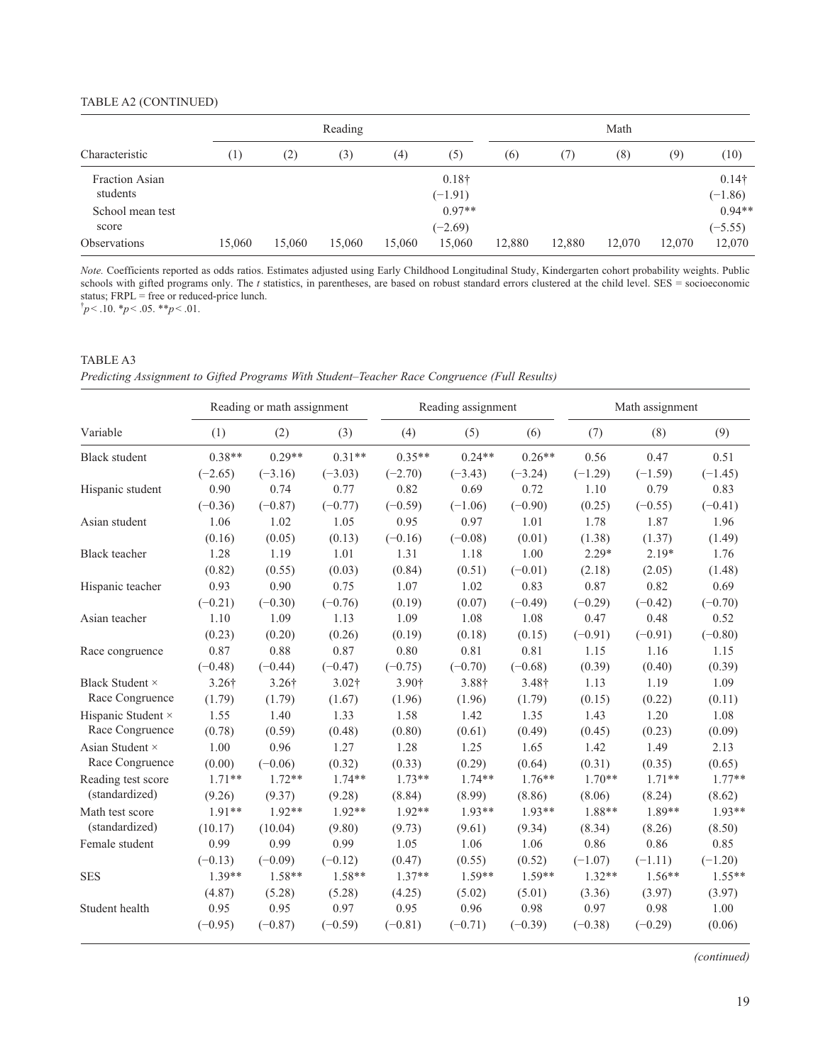# TABLE A2 (CONTINUED)

|                       |          |                   | Reading |        | Math          |        |        |        |        |               |
|-----------------------|----------|-------------------|---------|--------|---------------|--------|--------|--------|--------|---------------|
| Characteristic        | $_{(1)}$ | $\left( 2\right)$ | (3)     | (4)    | (5)           | (6)    | (7)    | (8)    | (9)    | (10)          |
| <b>Fraction Asian</b> |          |                   |         |        | $0.18\dagger$ |        |        |        |        | $0.14\dagger$ |
| students              |          |                   |         |        | $(-1.91)$     |        |        |        |        | $(-1.86)$     |
| School mean test      |          |                   |         |        | $0.97**$      |        |        |        |        | $0.94**$      |
| score                 |          |                   |         |        | $(-2.69)$     |        |        |        |        | $(-5.55)$     |
| <b>Observations</b>   | 15,060   | 15,060            | 15,060  | 15,060 | 15,060        | 12,880 | 12,880 | 12,070 | 12,070 | 12,070        |

*Note.* Coefficients reported as odds ratios. Estimates adjusted using Early Childhood Longitudinal Study, Kindergarten cohort probability weights. Public schools with gifted programs only. The *t* statistics, in parentheses, are based on robust standard errors clustered at the child level. SES = socioeconomic status;  $FRPL = free$  or reduced-price lunch.

 $\phi$ <sup>+</sup> $p$  < .10. \* $p$  < .05. \*\* $p$  < .01.

| TABLE A3                                                                                     |  |
|----------------------------------------------------------------------------------------------|--|
| Predicting Assignment to Gifted Programs With Student-Teacher Race Congruence (Full Results) |  |

|                      | Reading or math assignment |               |                   | Reading assignment |           |                   | Math assignment |           |           |
|----------------------|----------------------------|---------------|-------------------|--------------------|-----------|-------------------|-----------------|-----------|-----------|
| Variable             | (1)                        | (2)           | (3)               | (4)                | (5)       | (6)               | (7)             | (8)       | (9)       |
| <b>Black student</b> | $0.38**$                   | $0.29**$      | $0.31**$          | $0.35**$           | $0.24**$  | $0.26**$          | 0.56            | 0.47      | 0.51      |
|                      | $(-2.65)$                  | $(-3.16)$     | $(-3.03)$         | $(-2.70)$          | $(-3.43)$ | $(-3.24)$         | $(-1.29)$       | $(-1.59)$ | $(-1.45)$ |
| Hispanic student     | 0.90                       | 0.74          | 0.77              | 0.82               | 0.69      | 0.72              | 1.10            | 0.79      | 0.83      |
|                      | $(-0.36)$                  | $(-0.87)$     | $(-0.77)$         | $(-0.59)$          | $(-1.06)$ | $(-0.90)$         | (0.25)          | $(-0.55)$ | $(-0.41)$ |
| Asian student        | 1.06                       | 1.02          | 1.05              | 0.95               | 0.97      | 1.01              | 1.78            | 1.87      | 1.96      |
|                      | (0.16)                     | (0.05)        | (0.13)            | $(-0.16)$          | $(-0.08)$ | (0.01)            | (1.38)          | (1.37)    | (1.49)    |
| <b>Black</b> teacher | 1.28                       | 1.19          | 1.01              | 1.31               | 1.18      | 1.00              | $2.29*$         | 2.19*     | 1.76      |
|                      | (0.82)                     | (0.55)        | (0.03)            | (0.84)             | (0.51)    | $(-0.01)$         | (2.18)          | (2.05)    | (1.48)    |
| Hispanic teacher     | 0.93                       | 0.90          | 0.75              | 1.07               | 1.02      | 0.83              | 0.87            | 0.82      | 0.69      |
|                      | $(-0.21)$                  | $(-0.30)$     | $(-0.76)$         | (0.19)             | (0.07)    | $(-0.49)$         | $(-0.29)$       | $(-0.42)$ | $(-0.70)$ |
| Asian teacher        | 1.10                       | 1.09          | 1.13              | 1.09               | 1.08      | 1.08              | 0.47            | 0.48      | 0.52      |
|                      | (0.23)                     | (0.20)        | (0.26)            | (0.19)             | (0.18)    | (0.15)            | $(-0.91)$       | $(-0.91)$ | $(-0.80)$ |
| Race congruence      | 0.87                       | 0.88          | 0.87              | 0.80               | 0.81      | 0.81              | 1.15            | 1.16      | 1.15      |
|                      | $(-0.48)$                  | $(-0.44)$     | $(-0.47)$         | $(-0.75)$          | $(-0.70)$ | $(-0.68)$         | (0.39)          | (0.40)    | (0.39)    |
| Black Student ×      | 3.26 <sup>†</sup>          | $3.26\dagger$ | 3.02 <sub>†</sub> | 3.90†              | 3.88†     | 3.48 <sup>†</sup> | 1.13            | 1.19      | 1.09      |
| Race Congruence      | (1.79)                     | (1.79)        | (1.67)            | (1.96)             | (1.96)    | (1.79)            | (0.15)          | (0.22)    | (0.11)    |
| Hispanic Student ×   | 1.55                       | 1.40          | 1.33              | 1.58               | 1.42      | 1.35              | 1.43            | 1.20      | 1.08      |
| Race Congruence      | (0.78)                     | (0.59)        | (0.48)            | (0.80)             | (0.61)    | (0.49)            | (0.45)          | (0.23)    | (0.09)    |
| Asian Student ×      | 1.00                       | 0.96          | 1.27              | 1.28               | 1.25      | 1.65              | 1.42            | 1.49      | 2.13      |
| Race Congruence      | (0.00)                     | $(-0.06)$     | (0.32)            | (0.33)             | (0.29)    | (0.64)            | (0.31)          | (0.35)    | (0.65)    |
| Reading test score   | $1.71**$                   | $1.72**$      | $1.74**$          | $1.73**$           | $1.74**$  | $1.76**$          | $1.70**$        | $1.71**$  | $1.77**$  |
| (standardized)       | (9.26)                     | (9.37)        | (9.28)            | (8.84)             | (8.99)    | (8.86)            | (8.06)          | (8.24)    | (8.62)    |
| Math test score      | $1.91**$                   | $1.92**$      | $1.92**$          | 1.92**             | $1.93**$  | $1.93**$          | 1.88**          | 1.89**    | $1.93**$  |
| (standardized)       | (10.17)                    | (10.04)       | (9.80)            | (9.73)             | (9.61)    | (9.34)            | (8.34)          | (8.26)    | (8.50)    |
| Female student       | 0.99                       | 0.99          | 0.99              | 1.05               | 1.06      | 1.06              | 0.86            | 0.86      | 0.85      |
|                      | $(-0.13)$                  | $(-0.09)$     | $(-0.12)$         | (0.47)             | (0.55)    | (0.52)            | $(-1.07)$       | $(-1.11)$ | $(-1.20)$ |
| <b>SES</b>           | $1.39**$                   | $1.58**$      | $1.58**$          | $1.37**$           | $1.59**$  | $1.59**$          | $1.32**$        | $1.56**$  | $1.55**$  |
|                      | (4.87)                     | (5.28)        | (5.28)            | (4.25)             | (5.02)    | (5.01)            | (3.36)          | (3.97)    | (3.97)    |
| Student health       | 0.95                       | 0.95          | 0.97              | 0.95               | 0.96      | 0.98              | 0.97            | 0.98      | 1.00      |
|                      | $(-0.95)$                  | $(-0.87)$     | $(-0.59)$         | $(-0.81)$          | $(-0.71)$ | $(-0.39)$         | $(-0.38)$       | $(-0.29)$ | (0.06)    |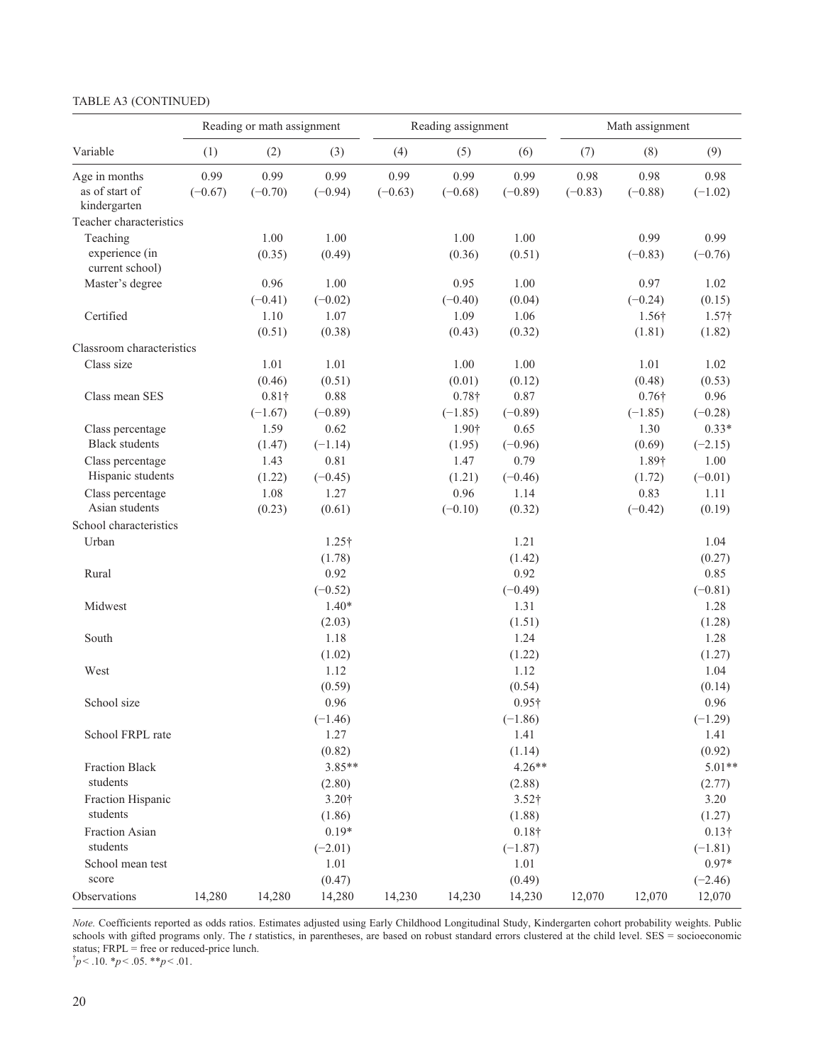|                                   | Reading or math assignment |               |                   | Reading assignment |               |               | Math assignment |               |               |
|-----------------------------------|----------------------------|---------------|-------------------|--------------------|---------------|---------------|-----------------|---------------|---------------|
| Variable                          | (1)                        | (2)           | (3)               | (4)                | (5)           | (6)           | (7)             | (8)           | (9)           |
| Age in months                     | 0.99                       | 0.99          | 0.99              | 0.99               | 0.99          | 0.99          | 0.98            | 0.98          | 0.98          |
| as of start of                    | $(-0.67)$                  | $(-0.70)$     | $(-0.94)$         | $(-0.63)$          | $(-0.68)$     | $(-0.89)$     | $(-0.83)$       | $(-0.88)$     | $(-1.02)$     |
| kindergarten                      |                            |               |                   |                    |               |               |                 |               |               |
| Teacher characteristics           |                            |               |                   |                    |               |               |                 |               |               |
| Teaching                          |                            | 1.00          | 1.00              |                    | 1.00          | 1.00          |                 | 0.99          | 0.99          |
| experience (in<br>current school) |                            | (0.35)        | (0.49)            |                    | (0.36)        | (0.51)        |                 | $(-0.83)$     | $(-0.76)$     |
| Master's degree                   |                            | 0.96          | 1.00              |                    | 0.95          | 1.00          |                 | 0.97          | 1.02          |
|                                   |                            | $(-0.41)$     | $(-0.02)$         |                    | $(-0.40)$     | (0.04)        |                 | $(-0.24)$     | (0.15)        |
| Certified                         |                            | 1.10          | 1.07              |                    | 1.09          | 1.06          |                 | 1.56†         | $1.57\dagger$ |
|                                   |                            | (0.51)        | (0.38)            |                    | (0.43)        | (0.32)        |                 | (1.81)        | (1.82)        |
| Classroom characteristics         |                            |               |                   |                    |               |               |                 |               |               |
| Class size                        |                            | 1.01          | 1.01              |                    | 1.00          | 1.00          |                 | 1.01          | 1.02          |
|                                   |                            | (0.46)        | (0.51)            |                    | (0.01)        | (0.12)        |                 | (0.48)        | (0.53)        |
| Class mean SES                    |                            | $0.81\dagger$ | 0.88              |                    | $0.78\dagger$ | 0.87          |                 | $0.76\dagger$ | 0.96          |
|                                   |                            | $(-1.67)$     | $(-0.89)$         |                    | $(-1.85)$     | $(-0.89)$     |                 | $(-1.85)$     | $(-0.28)$     |
| Class percentage                  |                            | 1.59          | 0.62              |                    | 1.90†         | 0.65          |                 | 1.30          | $0.33*$       |
| <b>Black students</b>             |                            | (1.47)        | $(-1.14)$         |                    | (1.95)        | $(-0.96)$     |                 | (0.69)        | $(-2.15)$     |
| Class percentage                  |                            | 1.43          | 0.81              |                    | 1.47          | 0.79          |                 | 1.89†         | 1.00          |
| Hispanic students                 |                            | (1.22)        | $(-0.45)$         |                    | (1.21)        | $(-0.46)$     |                 | (1.72)        | $(-0.01)$     |
| Class percentage                  |                            | 1.08          | 1.27              |                    | 0.96          | 1.14          |                 | 0.83          | 1.11          |
| Asian students                    |                            | (0.23)        | (0.61)            |                    | $(-0.10)$     | (0.32)        |                 | $(-0.42)$     | (0.19)        |
| School characteristics            |                            |               |                   |                    |               |               |                 |               |               |
| Urban                             |                            |               | $1.25\dagger$     |                    |               | 1.21          |                 |               | 1.04          |
|                                   |                            |               | (1.78)            |                    |               | (1.42)        |                 |               | (0.27)        |
| Rural                             |                            |               | 0.92              |                    |               | 0.92          |                 |               | 0.85          |
|                                   |                            |               | $(-0.52)$         |                    |               | $(-0.49)$     |                 |               | $(-0.81)$     |
| Midwest                           |                            |               | $1.40*$           |                    |               | 1.31          |                 |               | 1.28          |
|                                   |                            |               | (2.03)            |                    |               | (1.51)        |                 |               | (1.28)        |
| South                             |                            |               | 1.18              |                    |               | 1.24          |                 |               | 1.28          |
|                                   |                            |               | (1.02)            |                    |               | (1.22)        |                 |               | (1.27)        |
| West                              |                            |               | 1.12              |                    |               | 1.12          |                 |               | 1.04          |
|                                   |                            |               | (0.59)            |                    |               | (0.54)        |                 |               | (0.14)        |
| School size                       |                            |               | 0.96              |                    |               | $0.95\dagger$ |                 |               | 0.96          |
|                                   |                            |               | $(-1.46)$         |                    |               | $(-1.86)$     |                 |               | $(-1.29)$     |
| School FRPL rate                  |                            |               | 1.27              |                    |               | 1.41          |                 |               | 1.41          |
|                                   |                            |               | (0.82)            |                    |               | (1.14)        |                 |               | (0.92)        |
| Fraction Black                    |                            |               | $3.85**$          |                    |               | $4.26**$      |                 |               | $5.01**$      |
| students                          |                            |               | (2.80)            |                    |               | (2.88)        |                 |               | (2.77)        |
| Fraction Hispanic                 |                            |               | 3.20 <sup>†</sup> |                    |               | $3.52\dagger$ |                 |               | 3.20          |
| students                          |                            |               | (1.86)            |                    |               | (1.88)        |                 |               | (1.27)        |
| Fraction Asian                    |                            |               | $0.19*$           |                    |               | $0.18\dagger$ |                 |               | $0.13\dagger$ |
| students                          |                            |               | $(-2.01)$         |                    |               | $(-1.87)$     |                 |               | $(-1.81)$     |
| School mean test                  |                            |               | 1.01              |                    |               | 1.01          |                 |               | $0.97*$       |
| score                             |                            |               | (0.47)            |                    |               | (0.49)        |                 |               | $(-2.46)$     |
| Observations                      | 14,280                     | 14,280        | 14,280            | 14,230             | 14,230        | 14,230        | 12,070          | 12,070        | 12,070        |

# TABLE A3 (CONTINUED)

*Note.* Coefficients reported as odds ratios. Estimates adjusted using Early Childhood Longitudinal Study, Kindergarten cohort probability weights. Public schools with gifted programs only. The *t* statistics, in parentheses, are based on robust standard errors clustered at the child level. SES = socioeconomic status; FRPL = free or reduced-price lunch.

 $\phi$ <sup>+</sup> $p$  < .10. \* $p$  < .05. \*\* $p$  < .01.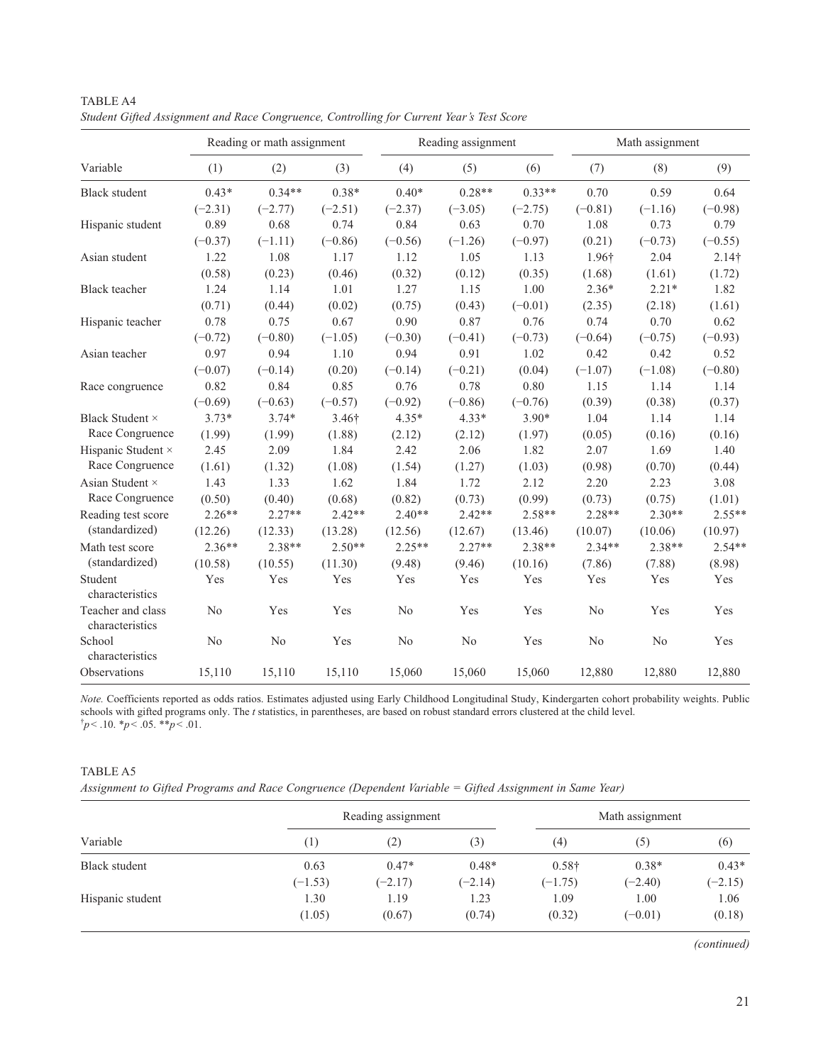|                                      | Reading or math assignment |                |           | Reading assignment |                |           | Math assignment |                |                   |
|--------------------------------------|----------------------------|----------------|-----------|--------------------|----------------|-----------|-----------------|----------------|-------------------|
| Variable                             | (1)                        | (2)            | (3)       | (4)                | (5)            | (6)       | (7)             | (8)            | (9)               |
| <b>Black student</b>                 | $0.43*$                    | $0.34**$       | $0.38*$   | $0.40*$            | $0.28**$       | $0.33**$  | 0.70            | 0.59           | 0.64              |
|                                      | $(-2.31)$                  | $(-2.77)$      | $(-2.51)$ | $(-2.37)$          | $(-3.05)$      | $(-2.75)$ | $(-0.81)$       | $(-1.16)$      | $(-0.98)$         |
| Hispanic student                     | 0.89                       | 0.68           | 0.74      | 0.84               | 0.63           | 0.70      | 1.08            | 0.73           | 0.79              |
|                                      | $(-0.37)$                  | $(-1.11)$      | $(-0.86)$ | $(-0.56)$          | $(-1.26)$      | $(-0.97)$ | (0.21)          | $(-0.73)$      | $(-0.55)$         |
| Asian student                        | 1.22                       | 1.08           | 1.17      | 1.12               | 1.05           | 1.13      | 1.96†           | 2.04           | 2.14 <sup>†</sup> |
|                                      | (0.58)                     | (0.23)         | (0.46)    | (0.32)             | (0.12)         | (0.35)    | (1.68)          | (1.61)         | (1.72)            |
| <b>Black</b> teacher                 | 1.24                       | 1.14           | 1.01      | 1.27               | 1.15           | 1.00      | $2.36*$         | $2.21*$        | 1.82              |
|                                      | (0.71)                     | (0.44)         | (0.02)    | (0.75)             | (0.43)         | $(-0.01)$ | (2.35)          | (2.18)         | (1.61)            |
| Hispanic teacher                     | 0.78                       | 0.75           | 0.67      | 0.90               | 0.87           | 0.76      | 0.74            | 0.70           | 0.62              |
|                                      | $(-0.72)$                  | $(-0.80)$      | $(-1.05)$ | $(-0.30)$          | $(-0.41)$      | $(-0.73)$ | $(-0.64)$       | $(-0.75)$      | $(-0.93)$         |
| Asian teacher                        | 0.97                       | 0.94           | 1.10      | 0.94               | 0.91           | 1.02      | 0.42            | 0.42           | 0.52              |
|                                      | $(-0.07)$                  | $(-0.14)$      | (0.20)    | $(-0.14)$          | $(-0.21)$      | (0.04)    | $(-1.07)$       | $(-1.08)$      | $(-0.80)$         |
| Race congruence                      | 0.82                       | 0.84           | 0.85      | 0.76               | 0.78           | 0.80      | 1.15            | 1.14           | 1.14              |
|                                      | $(-0.69)$                  | $(-0.63)$      | $(-0.57)$ | $(-0.92)$          | $(-0.86)$      | $(-0.76)$ | (0.39)          | (0.38)         | (0.37)            |
| Black Student ×                      | $3.73*$                    | $3.74*$        | 3.46†     | $4.35*$            | $4.33*$        | $3.90*$   | 1.04            | 1.14           | 1.14              |
| Race Congruence                      | (1.99)                     | (1.99)         | (1.88)    | (2.12)             | (2.12)         | (1.97)    | (0.05)          | (0.16)         | (0.16)            |
| Hispanic Student ×                   | 2.45                       | 2.09           | 1.84      | 2.42               | 2.06           | 1.82      | 2.07            | 1.69           | 1.40              |
| Race Congruence                      | (1.61)                     | (1.32)         | (1.08)    | (1.54)             | (1.27)         | (1.03)    | (0.98)          | (0.70)         | (0.44)            |
| Asian Student ×                      | 1.43                       | 1.33           | 1.62      | 1.84               | 1.72           | 2.12      | 2.20            | 2.23           | 3.08              |
| Race Congruence                      | (0.50)                     | (0.40)         | (0.68)    | (0.82)             | (0.73)         | (0.99)    | (0.73)          | (0.75)         | (1.01)            |
| Reading test score                   | $2.26**$                   | $2.27**$       | $2.42**$  | $2.40**$           | $2.42**$       | $2.58**$  | $2.28**$        | $2.30**$       | $2.55**$          |
| (standardized)                       | (12.26)                    | (12.33)        | (13.28)   | (12.56)            | (12.67)        | (13.46)   | (10.07)         | (10.06)        | (10.97)           |
| Math test score                      | $2.36**$                   | $2.38**$       | $2.50**$  | $2.25**$           | $2.27**$       | $2.38**$  | $2.34**$        | $2.38**$       | $2.54**$          |
| (standardized)                       | (10.58)                    | (10.55)        | (11.30)   | (9.48)             | (9.46)         | (10.16)   | (7.86)          | (7.88)         | (8.98)            |
| Student<br>characteristics           | Yes                        | Yes            | Yes       | Yes                | Yes            | Yes       | Yes             | Yes            | Yes               |
| Teacher and class<br>characteristics | N <sub>0</sub>             | Yes            | Yes       | N <sub>o</sub>     | Yes            | Yes       | N <sub>o</sub>  | Yes            | Yes               |
| School<br>characteristics            | N <sub>0</sub>             | N <sub>o</sub> | Yes       | N <sub>o</sub>     | N <sub>0</sub> | Yes       | N <sub>o</sub>  | N <sub>o</sub> | Yes               |
| Observations                         | 15,110                     | 15,110         | 15,110    | 15,060             | 15,060         | 15,060    | 12,880          | 12,880         | 12,880            |

Table A4 *Student Gifted Assignment and Race Congruence, Controlling for Current Year's Test Score*

*Note.* Coefficients reported as odds ratios. Estimates adjusted using Early Childhood Longitudinal Study, Kindergarten cohort probability weights. Public schools with gifted programs only. The *t* statistics, in parentheses, are based on robust standard errors clustered at the child level.  $\phi$ <sup>+</sup> $p$  < .10. \* $p$  < .05. \*\* $p$  < .01.

#### TABLE A5

*Assignment to Gifted Programs and Race Congruence (Dependent Variable = Gifted Assignment in Same Year)*

| Variable             |           | Reading assignment | Math assignment |               |           |           |
|----------------------|-----------|--------------------|-----------------|---------------|-----------|-----------|
|                      | (1)       | (2)                | (3)             | (4)           | (5)       | (6)       |
| <b>Black student</b> | 0.63      | $0.47*$            | $0.48*$         | $0.58\dagger$ | $0.38*$   | $0.43*$   |
|                      | $(-1.53)$ | $(-2.17)$          | $(-2.14)$       | $(-1.75)$     | $(-2.40)$ | $(-2.15)$ |
| Hispanic student     | 1.30      | 1.19               | 1.23            | 1.09          | 1.00      | 1.06      |
|                      | (1.05)    | (0.67)             | (0.74)          | (0.32)        | $(-0.01)$ | (0.18)    |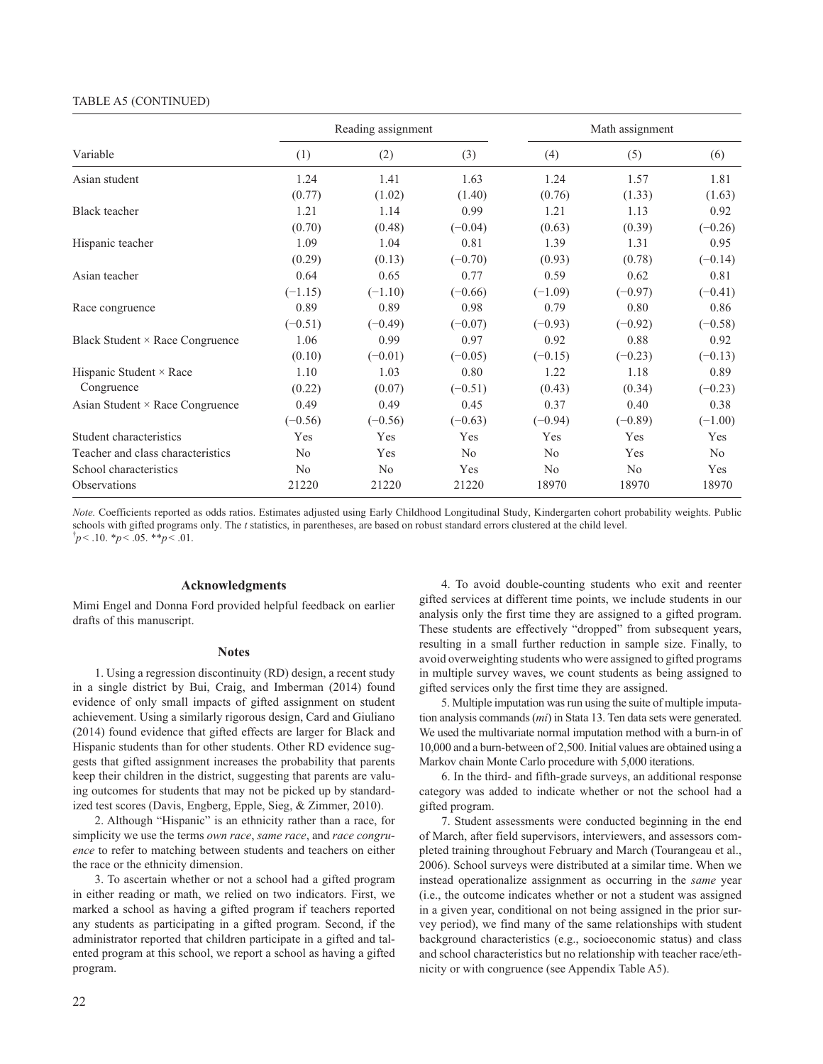#### Table A5 (continued)

|                                        |                | Reading assignment |                | Math assignment |                |                |
|----------------------------------------|----------------|--------------------|----------------|-----------------|----------------|----------------|
| Variable                               | (1)            | (2)                | (3)            | (4)             | (5)            | (6)            |
| Asian student                          | 1.24           | 1.41               | 1.63           | 1.24            | 1.57           | 1.81           |
|                                        | (0.77)         | (1.02)             | (1.40)         | (0.76)          | (1.33)         | (1.63)         |
| <b>Black</b> teacher                   | 1.21           | 1.14               | 0.99           | 1.21            | 1.13           | 0.92           |
|                                        | (0.70)         | (0.48)             | $(-0.04)$      | (0.63)          | (0.39)         | $(-0.26)$      |
| Hispanic teacher                       | 1.09           | 1.04               | 0.81           | 1.39            | 1.31           | 0.95           |
|                                        | (0.29)         | (0.13)             | $(-0.70)$      | (0.93)          | (0.78)         | $(-0.14)$      |
| Asian teacher                          | 0.64           | 0.65               | 0.77           | 0.59            | 0.62           | 0.81           |
|                                        | $(-1.15)$      | $(-1.10)$          | $(-0.66)$      | $(-1.09)$       | $(-0.97)$      | $(-0.41)$      |
| Race congruence                        | 0.89           | 0.89               | 0.98           | 0.79            | 0.80           | 0.86           |
|                                        | $(-0.51)$      | $(-0.49)$          | $(-0.07)$      | $(-0.93)$       | $(-0.92)$      | $(-0.58)$      |
| Black Student × Race Congruence        | 1.06           | 0.99               | 0.97           | 0.92            | 0.88           | 0.92           |
|                                        | (0.10)         | $(-0.01)$          | $(-0.05)$      | $(-0.15)$       | $(-0.23)$      | $(-0.13)$      |
| Hispanic Student × Race                | 1.10           | 1.03               | 0.80           | 1.22            | 1.18           | 0.89           |
| Congruence                             | (0.22)         | (0.07)             | $(-0.51)$      | (0.43)          | (0.34)         | $(-0.23)$      |
| Asian Student $\times$ Race Congruence | 0.49           | 0.49               | 0.45           | 0.37            | 0.40           | 0.38           |
|                                        | $(-0.56)$      | $(-0.56)$          | $(-0.63)$      | $(-0.94)$       | $(-0.89)$      | $(-1.00)$      |
| Student characteristics                | Yes            | Yes                | Yes            | Yes             | Yes            | Yes            |
| Teacher and class characteristics      | N <sub>0</sub> | Yes                | N <sub>0</sub> | N <sub>0</sub>  | Yes            | N <sub>0</sub> |
| School characteristics                 | N <sub>0</sub> | N <sub>0</sub>     | Yes            | N <sub>0</sub>  | N <sub>0</sub> | Yes            |
| <b>Observations</b>                    | 21220          | 21220              | 21220          | 18970           | 18970          | 18970          |

*Note.* Coefficients reported as odds ratios. Estimates adjusted using Early Childhood Longitudinal Study, Kindergarten cohort probability weights. Public schools with gifted programs only. The *t* statistics, in parentheses, are based on robust standard errors clustered at the child level.  $\phi$ <sup>†</sup> $p$ < .10. \* $p$ < .05. \*\* $p$ < .01.

#### **Acknowledgments**

Mimi Engel and Donna Ford provided helpful feedback on earlier drafts of this manuscript.

#### **Notes**

1. Using a regression discontinuity (RD) design, a recent study in a single district by Bui, Craig, and Imberman (2014) found evidence of only small impacts of gifted assignment on student achievement. Using a similarly rigorous design, Card and Giuliano (2014) found evidence that gifted effects are larger for Black and Hispanic students than for other students. Other RD evidence suggests that gifted assignment increases the probability that parents keep their children in the district, suggesting that parents are valuing outcomes for students that may not be picked up by standardized test scores (Davis, Engberg, Epple, Sieg, & Zimmer, 2010).

2. Although "Hispanic" is an ethnicity rather than a race, for simplicity we use the terms *own race*, *same race*, and *race congruence* to refer to matching between students and teachers on either the race or the ethnicity dimension.

3. To ascertain whether or not a school had a gifted program in either reading or math, we relied on two indicators. First, we marked a school as having a gifted program if teachers reported any students as participating in a gifted program. Second, if the administrator reported that children participate in a gifted and talented program at this school, we report a school as having a gifted program.

4. To avoid double-counting students who exit and reenter gifted services at different time points, we include students in our analysis only the first time they are assigned to a gifted program. These students are effectively "dropped" from subsequent years, resulting in a small further reduction in sample size. Finally, to avoid overweighting students who were assigned to gifted programs in multiple survey waves, we count students as being assigned to gifted services only the first time they are assigned.

5. Multiple imputation was run using the suite of multiple imputation analysis commands (*mi*) in Stata 13. Ten data sets were generated. We used the multivariate normal imputation method with a burn-in of 10,000 and a burn-between of 2,500. Initial values are obtained using a Markov chain Monte Carlo procedure with 5,000 iterations.

6. In the third- and fifth-grade surveys, an additional response category was added to indicate whether or not the school had a gifted program.

7. Student assessments were conducted beginning in the end of March, after field supervisors, interviewers, and assessors completed training throughout February and March (Tourangeau et al., 2006). School surveys were distributed at a similar time. When we instead operationalize assignment as occurring in the *same* year (i.e., the outcome indicates whether or not a student was assigned in a given year, conditional on not being assigned in the prior survey period), we find many of the same relationships with student background characteristics (e.g., socioeconomic status) and class and school characteristics but no relationship with teacher race/ethnicity or with congruence (see Appendix Table A5).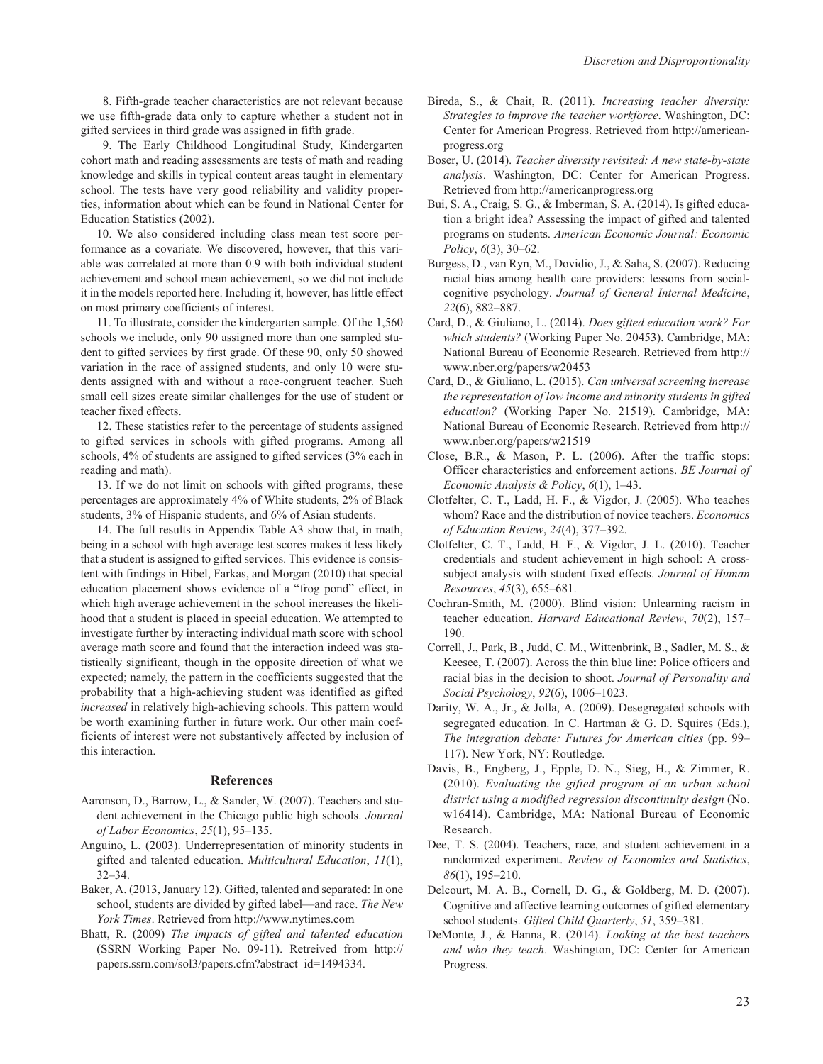8. Fifth-grade teacher characteristics are not relevant because we use fifth-grade data only to capture whether a student not in gifted services in third grade was assigned in fifth grade.

9. The Early Childhood Longitudinal Study, Kindergarten cohort math and reading assessments are tests of math and reading knowledge and skills in typical content areas taught in elementary school. The tests have very good reliability and validity properties, information about which can be found in National Center for Education Statistics (2002).

10. We also considered including class mean test score performance as a covariate. We discovered, however, that this variable was correlated at more than 0.9 with both individual student achievement and school mean achievement, so we did not include it in the models reported here. Including it, however, has little effect on most primary coefficients of interest.

11. To illustrate, consider the kindergarten sample. Of the 1,560 schools we include, only 90 assigned more than one sampled student to gifted services by first grade. Of these 90, only 50 showed variation in the race of assigned students, and only 10 were students assigned with and without a race-congruent teacher. Such small cell sizes create similar challenges for the use of student or teacher fixed effects.

12. These statistics refer to the percentage of students assigned to gifted services in schools with gifted programs. Among all schools, 4% of students are assigned to gifted services (3% each in reading and math).

13. If we do not limit on schools with gifted programs, these percentages are approximately 4% of White students, 2% of Black students, 3% of Hispanic students, and 6% of Asian students.

14. The full results in Appendix Table A3 show that, in math, being in a school with high average test scores makes it less likely that a student is assigned to gifted services. This evidence is consistent with findings in Hibel, Farkas, and Morgan (2010) that special education placement shows evidence of a "frog pond" effect, in which high average achievement in the school increases the likelihood that a student is placed in special education. We attempted to investigate further by interacting individual math score with school average math score and found that the interaction indeed was statistically significant, though in the opposite direction of what we expected; namely, the pattern in the coefficients suggested that the probability that a high-achieving student was identified as gifted *increased* in relatively high-achieving schools. This pattern would be worth examining further in future work. Our other main coefficients of interest were not substantively affected by inclusion of this interaction.

#### **References**

- Aaronson, D., Barrow, L., & Sander, W. (2007). Teachers and student achievement in the Chicago public high schools. *Journal of Labor Economics*, *25*(1), 95–135.
- Anguino, L. (2003). Underrepresentation of minority students in gifted and talented education. *Multicultural Education*, *11*(1), 32–34.
- Baker, A. (2013, January 12). Gifted, talented and separated: In one school, students are divided by gifted label—and race. *The New York Times*. Retrieved from http://www.nytimes.com
- Bhatt, R. (2009) *The impacts of gifted and talented education* (SSRN Working Paper No. 09-11). Retreived from http:// papers.ssrn.com/sol3/papers.cfm?abstract\_id=1494334.
- Bireda, S., & Chait, R. (2011). *Increasing teacher diversity: Strategies to improve the teacher workforce*. Washington, DC: Center for American Progress. Retrieved from http://americanprogress.org
- Boser, U. (2014). *Teacher diversity revisited: A new state-by-state analysis*. Washington, DC: Center for American Progress. Retrieved from http://americanprogress.org
- Bui, S. A., Craig, S. G., & Imberman, S. A. (2014). Is gifted education a bright idea? Assessing the impact of gifted and talented programs on students. *American Economic Journal: Economic Policy*, *6*(3), 30–62.
- Burgess, D., van Ryn, M., Dovidio, J., & Saha, S. (2007). Reducing racial bias among health care providers: lessons from socialcognitive psychology. *Journal of General Internal Medicine*, *22*(6), 882–887.
- Card, D., & Giuliano, L. (2014). *Does gifted education work? For which students?* (Working Paper No. 20453). Cambridge, MA: National Bureau of Economic Research. Retrieved from http:// www.nber.org/papers/w20453
- Card, D., & Giuliano, L. (2015). *Can universal screening increase the representation of low income and minority students in gifted education?* (Working Paper No. 21519). Cambridge, MA: National Bureau of Economic Research. Retrieved from http:// www.nber.org/papers/w21519
- Close, B.R., & Mason, P. L. (2006). After the traffic stops: Officer characteristics and enforcement actions. *BE Journal of Economic Analysis & Policy*, *6*(1), 1–43.
- Clotfelter, C. T., Ladd, H. F., & Vigdor, J. (2005). Who teaches whom? Race and the distribution of novice teachers. *Economics of Education Review*, *24*(4), 377–392.
- Clotfelter, C. T., Ladd, H. F., & Vigdor, J. L. (2010). Teacher credentials and student achievement in high school: A crosssubject analysis with student fixed effects. *Journal of Human Resources*, *45*(3), 655–681.
- Cochran-Smith, M. (2000). Blind vision: Unlearning racism in teacher education. *Harvard Educational Review*, *70*(2), 157– 190.
- Correll, J., Park, B., Judd, C. M., Wittenbrink, B., Sadler, M. S., & Keesee, T. (2007). Across the thin blue line: Police officers and racial bias in the decision to shoot. *Journal of Personality and Social Psychology*, *92*(6), 1006–1023.
- Darity, W. A., Jr., & Jolla, A. (2009). Desegregated schools with segregated education. In C. Hartman & G. D. Squires (Eds.), *The integration debate: Futures for American cities* (pp. 99– 117). New York, NY: Routledge.
- Davis, B., Engberg, J., Epple, D. N., Sieg, H., & Zimmer, R. (2010). *Evaluating the gifted program of an urban school district using a modified regression discontinuity design* (No. w16414). Cambridge, MA: National Bureau of Economic Research.
- Dee, T. S. (2004). Teachers, race, and student achievement in a randomized experiment. *Review of Economics and Statistics*, *86*(1), 195–210.
- Delcourt, M. A. B., Cornell, D. G., & Goldberg, M. D. (2007). Cognitive and affective learning outcomes of gifted elementary school students. *Gifted Child Quarterly*, *51*, 359–381.
- DeMonte, J., & Hanna, R. (2014). *Looking at the best teachers and who they teach*. Washington, DC: Center for American Progress.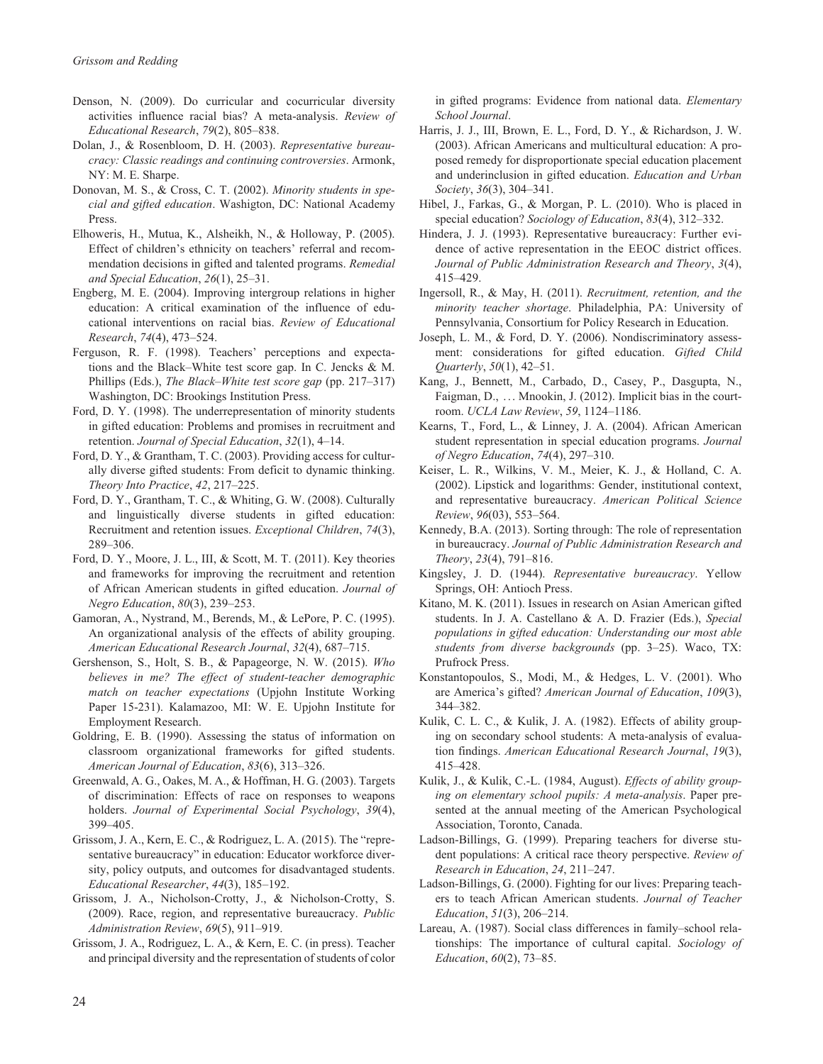- Denson, N. (2009). Do curricular and cocurricular diversity activities influence racial bias? A meta-analysis. *Review of Educational Research*, *79*(2), 805–838.
- Dolan, J., & Rosenbloom, D. H. (2003). *Representative bureaucracy: Classic readings and continuing controversies*. Armonk, NY: M. E. Sharpe.
- Donovan, M. S., & Cross, C. T. (2002). *Minority students in special and gifted education*. Washigton, DC: National Academy Press.
- Elhoweris, H., Mutua, K., Alsheikh, N., & Holloway, P. (2005). Effect of children's ethnicity on teachers' referral and recommendation decisions in gifted and talented programs. *Remedial and Special Education*, *26*(1), 25–31.
- Engberg, M. E. (2004). Improving intergroup relations in higher education: A critical examination of the influence of educational interventions on racial bias. *Review of Educational Research*, *74*(4), 473–524.
- Ferguson, R. F. (1998). Teachers' perceptions and expectations and the Black–White test score gap. In C. Jencks & M. Phillips (Eds.), *The Black–White test score gap* (pp. 217–317) Washington, DC: Brookings Institution Press.
- Ford, D. Y. (1998). The underrepresentation of minority students in gifted education: Problems and promises in recruitment and retention. *Journal of Special Education*, *32*(1), 4–14.
- Ford, D. Y., & Grantham, T. C. (2003). Providing access for culturally diverse gifted students: From deficit to dynamic thinking. *Theory Into Practice*, *42*, 217–225.
- Ford, D. Y., Grantham, T. C., & Whiting, G. W. (2008). Culturally and linguistically diverse students in gifted education: Recruitment and retention issues. *Exceptional Children*, *74*(3), 289–306.
- Ford, D. Y., Moore, J. L., III, & Scott, M. T. (2011). Key theories and frameworks for improving the recruitment and retention of African American students in gifted education. *Journal of Negro Education*, *80*(3), 239–253.
- Gamoran, A., Nystrand, M., Berends, M., & LePore, P. C. (1995). An organizational analysis of the effects of ability grouping. *American Educational Research Journal*, *32*(4), 687–715.
- Gershenson, S., Holt, S. B., & Papageorge, N. W. (2015). *Who believes in me? The effect of student-teacher demographic match on teacher expectations* (Upjohn Institute Working Paper 15-231). Kalamazoo, MI: W. E. Upjohn Institute for Employment Research.
- Goldring, E. B. (1990). Assessing the status of information on classroom organizational frameworks for gifted students. *American Journal of Education*, *83*(6), 313–326.
- Greenwald, A. G., Oakes, M. A., & Hoffman, H. G. (2003). Targets of discrimination: Effects of race on responses to weapons holders. *Journal of Experimental Social Psychology*, *39*(4), 399–405.
- Grissom, J. A., Kern, E. C., & Rodriguez, L. A. (2015). The "representative bureaucracy" in education: Educator workforce diversity, policy outputs, and outcomes for disadvantaged students. *Educational Researcher*, *44*(3), 185–192.
- Grissom, J. A., Nicholson-Crotty, J., & Nicholson-Crotty, S. (2009). Race, region, and representative bureaucracy. *Public Administration Review*, *69*(5), 911–919.
- Grissom, J. A., Rodriguez, L. A., & Kern, E. C. (in press). Teacher and principal diversity and the representation of students of color

in gifted programs: Evidence from national data. *Elementary School Journal*.

- Harris, J. J., III, Brown, E. L., Ford, D. Y., & Richardson, J. W. (2003). African Americans and multicultural education: A proposed remedy for disproportionate special education placement and underinclusion in gifted education. *Education and Urban Society*, *36*(3), 304–341.
- Hibel, J., Farkas, G., & Morgan, P. L. (2010). Who is placed in special education? *Sociology of Education*, *83*(4), 312–332.
- Hindera, J. J. (1993). Representative bureaucracy: Further evidence of active representation in the EEOC district offices. *Journal of Public Administration Research and Theory*, *3*(4), 415–429.
- Ingersoll, R., & May, H. (2011). *Recruitment, retention, and the minority teacher shortage*. Philadelphia, PA: University of Pennsylvania, Consortium for Policy Research in Education.
- Joseph, L. M., & Ford, D. Y. (2006). Nondiscriminatory assessment: considerations for gifted education. *Gifted Child Quarterly*, *50*(1), 42–51.
- Kang, J., Bennett, M., Carbado, D., Casey, P., Dasgupta, N., Faigman, D., ... Mnookin, J. (2012). Implicit bias in the courtroom. *UCLA Law Review*, *59*, 1124–1186.
- Kearns, T., Ford, L., & Linney, J. A. (2004). African American student representation in special education programs. *Journal of Negro Education*, *74*(4), 297–310.
- Keiser, L. R., Wilkins, V. M., Meier, K. J., & Holland, C. A. (2002). Lipstick and logarithms: Gender, institutional context, and representative bureaucracy. *American Political Science Review*, *96*(03), 553–564.
- Kennedy, B.A. (2013). Sorting through: The role of representation in bureaucracy. *Journal of Public Administration Research and Theory*, *23*(4), 791–816.
- Kingsley, J. D. (1944). *Representative bureaucracy*. Yellow Springs, OH: Antioch Press.
- Kitano, M. K. (2011). Issues in research on Asian American gifted students. In J. A. Castellano & A. D. Frazier (Eds.), *Special populations in gifted education: Understanding our most able students from diverse backgrounds* (pp. 3–25). Waco, TX: Prufrock Press.
- Konstantopoulos, S., Modi, M., & Hedges, L. V. (2001). Who are America's gifted? *American Journal of Education*, *109*(3), 344–382.
- Kulik, C. L. C., & Kulik, J. A. (1982). Effects of ability grouping on secondary school students: A meta-analysis of evaluation findings. *American Educational Research Journal*, *19*(3), 415–428.
- Kulik, J., & Kulik, C.-L. (1984, August). *Effects of ability grouping on elementary school pupils: A meta-analysis*. Paper presented at the annual meeting of the American Psychological Association, Toronto, Canada.
- Ladson-Billings, G. (1999). Preparing teachers for diverse student populations: A critical race theory perspective. *Review of Research in Education*, *24*, 211–247.
- Ladson-Billings, G. (2000). Fighting for our lives: Preparing teachers to teach African American students. *Journal of Teacher Education*, *51*(3), 206–214.
- Lareau, A. (1987). Social class differences in family–school relationships: The importance of cultural capital. *Sociology of Education*, *60*(2), 73–85.